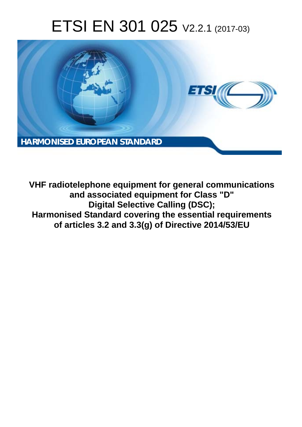# ETSI EN 301 025 V2.2.1 (2017-03)



**VHF radiotelephone equipment for general communications and associated equipment for Class "D" Digital Selective Calling (DSC); Harmonised Standard covering the essential requirements of articles 3.2 and 3.3(g) of Directive 2014/53/EU**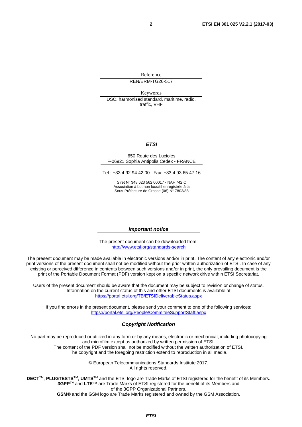Reference REN/ERM-TG26-517

Keywords

DSC, harmonised standard, maritime, radio, traffic, VHF

#### *ETSI*

#### 650 Route des Lucioles F-06921 Sophia Antipolis Cedex - FRANCE

Tel.: +33 4 92 94 42 00 Fax: +33 4 93 65 47 16

Siret N° 348 623 562 00017 - NAF 742 C Association à but non lucratif enregistrée à la Sous-Préfecture de Grasse (06) N° 7803/88

#### *Important notice*

The present document can be downloaded from: <http://www.etsi.org/standards-search>

The present document may be made available in electronic versions and/or in print. The content of any electronic and/or print versions of the present document shall not be modified without the prior written authorization of ETSI. In case of any existing or perceived difference in contents between such versions and/or in print, the only prevailing document is the print of the Portable Document Format (PDF) version kept on a specific network drive within ETSI Secretariat.

Users of the present document should be aware that the document may be subject to revision or change of status. Information on the current status of this and other ETSI documents is available at <https://portal.etsi.org/TB/ETSIDeliverableStatus.aspx>

If you find errors in the present document, please send your comment to one of the following services: <https://portal.etsi.org/People/CommiteeSupportStaff.aspx>

#### *Copyright Notification*

No part may be reproduced or utilized in any form or by any means, electronic or mechanical, including photocopying and microfilm except as authorized by written permission of ETSI.

The content of the PDF version shall not be modified without the written authorization of ETSI. The copyright and the foregoing restriction extend to reproduction in all media.

> © European Telecommunications Standards Institute 2017. All rights reserved.

**DECT**TM, **PLUGTESTS**TM, **UMTS**TM and the ETSI logo are Trade Marks of ETSI registered for the benefit of its Members. **3GPP**TM and **LTE**™ are Trade Marks of ETSI registered for the benefit of its Members and of the 3GPP Organizational Partners.

**GSM**® and the GSM logo are Trade Marks registered and owned by the GSM Association.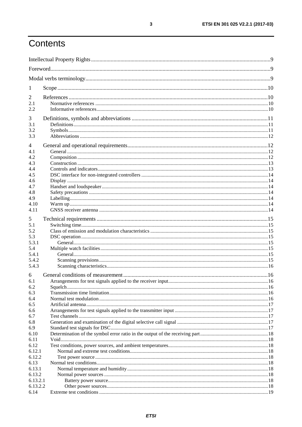# Contents

| $\mathbf{I}$         |  |  |
|----------------------|--|--|
| 2                    |  |  |
| 2.1                  |  |  |
| 2.2                  |  |  |
| 3                    |  |  |
| 3.1                  |  |  |
| 3.2                  |  |  |
| 3.3                  |  |  |
| 4                    |  |  |
| 4.1                  |  |  |
| 4.2                  |  |  |
| 4.3                  |  |  |
| 4.4                  |  |  |
| 4.5                  |  |  |
| 4.6                  |  |  |
| 4.7                  |  |  |
| 4.8                  |  |  |
| 4.9                  |  |  |
| 4.10                 |  |  |
| 4.11                 |  |  |
| 5                    |  |  |
| 5.1                  |  |  |
| 5.2                  |  |  |
| 5.3                  |  |  |
| 5.3.1                |  |  |
| 5.4                  |  |  |
| 5.4.1                |  |  |
| 5.4.2<br>5.4.3       |  |  |
|                      |  |  |
| 6                    |  |  |
| 6.1                  |  |  |
| 6.2                  |  |  |
| 6.3                  |  |  |
| 6.4<br>6.5           |  |  |
| 6.6                  |  |  |
| 6.7                  |  |  |
| 6.8                  |  |  |
| 6.9                  |  |  |
| 6.10                 |  |  |
| 6.11                 |  |  |
| 6.12                 |  |  |
| 6.12.1               |  |  |
| 6.12.2               |  |  |
| 6.13                 |  |  |
| 6.13.1               |  |  |
| 6.13.2               |  |  |
| 6.13.2.1<br>6.13.2.2 |  |  |
| 6.14                 |  |  |
|                      |  |  |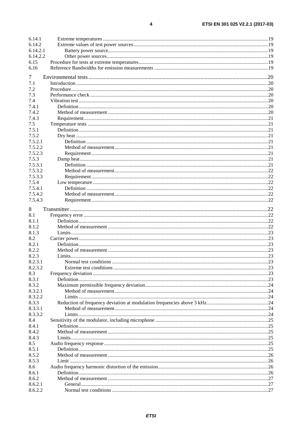| 6.14.1   |  |
|----------|--|
| 6.14.2   |  |
| 6.14.2.1 |  |
| 6.14.2.2 |  |
| 6.15     |  |
| 6.16     |  |
|          |  |
| 7        |  |
| 7.1      |  |
| 7.2      |  |
| 7.3      |  |
| 7.4      |  |
| 7.4.1    |  |
| 7.4.2    |  |
| 7.4.3    |  |
| 7.5      |  |
| 7.5.1    |  |
| 7.5.2    |  |
| 7.5.2.1  |  |
| 7.5.2.2  |  |
| 7.5.2.3  |  |
| 7.5.3    |  |
| 7.5.3.1  |  |
| 7.5.3.2  |  |
| 7.5.3.3  |  |
| 7.5.4    |  |
| 7.5.4.1  |  |
| 7.5.4.2  |  |
| 7.5.4.3  |  |
|          |  |
| 8        |  |
| 8.1      |  |
| 8.1.1    |  |
| 8.1.2    |  |
| 8.1.3    |  |
| 8.2      |  |
| 8.2.1    |  |
| 8.2.2    |  |
| 8.2.3    |  |
| 8.2.3.1  |  |
| 8.2.3.2  |  |
| 8.3      |  |
| 8.3.1    |  |
| 8.3.2    |  |
| 8.3.2.1  |  |
| 8.3.2.2  |  |
| 8.3.3    |  |
| 8.3.3.1  |  |
| 8.3.3.2  |  |
| 8.4      |  |
| 8.4.1    |  |
| 8.4.2    |  |
| 8.4.3    |  |
| 8.5      |  |
| 8.5.1    |  |
| 8.5.2    |  |
| 8.5.3    |  |
| 8.6      |  |
| 8.6.1    |  |
| 8.6.2    |  |
| 8.6.2.1  |  |
| 8.6.2.2  |  |
|          |  |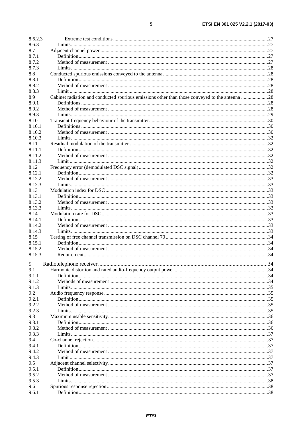| 8.6.2.3 |                                                                                                |     |
|---------|------------------------------------------------------------------------------------------------|-----|
| 8.6.3   |                                                                                                |     |
| 8.7     |                                                                                                |     |
| 8.7.1   |                                                                                                |     |
| 8.7.2   |                                                                                                |     |
| 8.7.3   |                                                                                                |     |
| 8.8     |                                                                                                |     |
| 8.8.1   |                                                                                                |     |
| 8.8.2   |                                                                                                |     |
| 8.8.3   |                                                                                                |     |
| 8.9     | Cabinet radiation and conducted spurious emissions other than those conveyed to the antenna 28 |     |
| 8.9.1   |                                                                                                |     |
| 8.9.2   |                                                                                                |     |
| 8.9.3   |                                                                                                |     |
| 8.10    |                                                                                                |     |
| 8.10.1  |                                                                                                |     |
| 8.10.2  |                                                                                                |     |
| 8.10.3  |                                                                                                |     |
| 8.11    |                                                                                                |     |
| 8.11.1  |                                                                                                |     |
| 8.11.2  |                                                                                                |     |
| 8.11.3  |                                                                                                |     |
| 8.12    |                                                                                                |     |
| 8.12.1  |                                                                                                |     |
| 8.12.2  |                                                                                                |     |
| 8.12.3  |                                                                                                |     |
| 8.13    |                                                                                                |     |
| 8.13.1  |                                                                                                |     |
| 8.13.2  |                                                                                                |     |
| 8.13.3  |                                                                                                |     |
| 8.14    |                                                                                                |     |
| 8.14.1  |                                                                                                |     |
| 8.14.2  |                                                                                                |     |
| 8.14.3  |                                                                                                |     |
| 8.15    |                                                                                                |     |
| 8.15.1  |                                                                                                |     |
| 8.15.2  |                                                                                                |     |
| 8.15.3  |                                                                                                |     |
|         |                                                                                                |     |
|         |                                                                                                | .34 |
| 9.1     |                                                                                                |     |
| 9.1.1   |                                                                                                |     |
| 9.1.2   |                                                                                                |     |
| 9.1.3   |                                                                                                |     |
| 9.2     |                                                                                                |     |
| 9.2.1   |                                                                                                |     |
| 9.2.2   |                                                                                                |     |
| 9.2.3   |                                                                                                |     |
| 9.3     |                                                                                                |     |
| 9.3.1   |                                                                                                |     |
| 9.3.2   |                                                                                                |     |
| 9.3.3   |                                                                                                |     |
| 9.4     |                                                                                                |     |
| 9.4.1   |                                                                                                |     |
| 9.4.2   |                                                                                                |     |
| 9.4.3   |                                                                                                |     |
| 9.5     |                                                                                                |     |
| 9.5.1   |                                                                                                |     |
| 9.5.2   |                                                                                                |     |
| 9.5.3   |                                                                                                |     |
| 9.6     |                                                                                                |     |
| 9.6.1   |                                                                                                |     |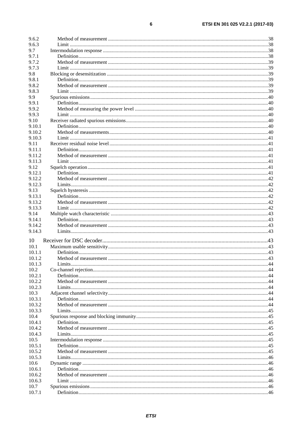| 9.6.2          |  |
|----------------|--|
| 9.6.3          |  |
| 9.7            |  |
| 9.7.1          |  |
| 9.7.2          |  |
| 9.7.3          |  |
| 9.8            |  |
| 9.8.1          |  |
| 9.8.2          |  |
| 9.8.3          |  |
| 9.9            |  |
| 9.9.1          |  |
| 9.9.2          |  |
| 9.9.3          |  |
| 9.10           |  |
| 9.10.1         |  |
| 9.10.2         |  |
| 9.10.3         |  |
| 9.11           |  |
| 9.11.1         |  |
| 9.11.2         |  |
| 9.11.3         |  |
| 9.12           |  |
| 9.12.1         |  |
| 9.12.2         |  |
| 9.12.3         |  |
|                |  |
| 9.13           |  |
| 9.13.1         |  |
| 9.13.2         |  |
| 9.13.3         |  |
| 9.14           |  |
| 9.14.1         |  |
| 9.14.2         |  |
| 9.14.3         |  |
| 10             |  |
| 10.1           |  |
| 10.1.1         |  |
|                |  |
|                |  |
| 10.1.2         |  |
| 10.1.3         |  |
| 10.2           |  |
| 10.2.1         |  |
| 10.2.2         |  |
| 10.2.3         |  |
| 10.3           |  |
| 10.3.1         |  |
| 10.3.2         |  |
| 10.3.3         |  |
| 10.4           |  |
| 10.4.1         |  |
| 10.4.2         |  |
| 10.4.3         |  |
| 10.5           |  |
| 10.5.1         |  |
| 10.5.2         |  |
| 10.5.3         |  |
| 10.6           |  |
| 10.6.1         |  |
| 10.6.2         |  |
| 10.6.3         |  |
| 10.7<br>10.7.1 |  |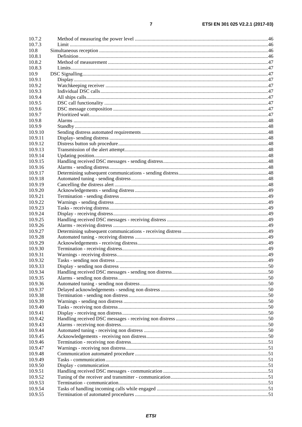| 10.7.2             |  |
|--------------------|--|
| 10.7.3             |  |
| 10.8               |  |
| 10.8.1             |  |
| 10.8.2             |  |
| 10.8.3             |  |
| 10.9               |  |
| 10.9.1             |  |
| 10.9.2             |  |
| 10.9.3             |  |
| 10.9.4             |  |
| 10.9.5             |  |
| 10.9.6             |  |
| 10.9.7             |  |
| 10.9.8             |  |
| 10.9.9             |  |
| 10.9.10            |  |
| 10.9.11            |  |
| 10.9.12            |  |
| 10.9.13            |  |
| 10.9.14            |  |
| 10.9.15            |  |
| 10.9.16            |  |
| 10.9.17            |  |
|                    |  |
| 10.9.18<br>10.9.19 |  |
|                    |  |
| 10.9.20            |  |
| 10.9.21            |  |
| 10.9.22            |  |
| 10.9.23            |  |
| 10.9.24            |  |
| 10.9.25            |  |
| 10.9.26            |  |
| 10.9.27            |  |
| 10.9.28            |  |
| 10.9.29            |  |
| 10.9.30            |  |
| 10.9.31            |  |
| 10.9.32            |  |
| 10.9.33            |  |
| 10.9.34            |  |
| 10.9.35            |  |
| 10.9.36            |  |
| 10.9.37            |  |
| 10.9.38            |  |
| 10.9.39            |  |
| 10.9.40            |  |
| 10.9.41            |  |
| 10.9.42            |  |
| 10.9.43            |  |
| 10.9.44            |  |
| 10.9.45            |  |
| 10.9.46            |  |
| 10.9.47            |  |
|                    |  |
| 10.9.48            |  |
| 10.9.49            |  |
| 10.9.50            |  |
| 10.9.51            |  |
| 10.9.52            |  |
| 10.9.53            |  |
| 10.9.54            |  |
| 10.9.55            |  |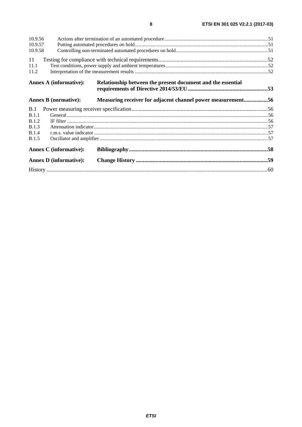| 10.9.56      |                               |                                                             |  |
|--------------|-------------------------------|-------------------------------------------------------------|--|
| 10.9.57      |                               |                                                             |  |
| 10.9.58      |                               |                                                             |  |
| 11           |                               |                                                             |  |
| 11.1         |                               |                                                             |  |
| 11.2         |                               |                                                             |  |
|              | <b>Annex A (informative):</b> | Relationship between the present document and the essential |  |
|              | <b>Annex B</b> (normative):   | Measuring receiver for adjacent channel power measurement56 |  |
| B.1          |                               |                                                             |  |
| B.1.1        |                               |                                                             |  |
| <b>B.1.2</b> |                               |                                                             |  |
| <b>B.1.3</b> |                               |                                                             |  |
| <b>B.1.4</b> |                               |                                                             |  |
| B.1.5        |                               |                                                             |  |
|              | <b>Annex C</b> (informative): |                                                             |  |
|              | <b>Annex D</b> (informative): |                                                             |  |
|              |                               |                                                             |  |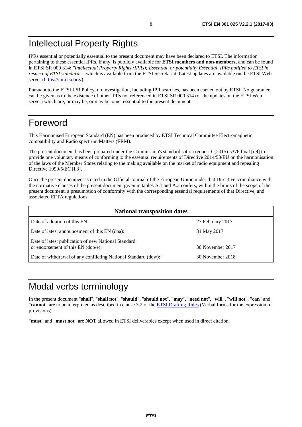# <span id="page-8-0"></span>Intellectual Property Rights

IPRs essential or potentially essential to the present document may have been declared to ETSI. The information pertaining to these essential IPRs, if any, is publicly available for **ETSI members and non-members**, and can be found in ETSI SR 000 314: *"Intellectual Property Rights (IPRs); Essential, or potentially Essential, IPRs notified to ETSI in respect of ETSI standards"*, which is available from the ETSI Secretariat. Latest updates are available on the ETSI Web server (<https://ipr.etsi.org/>).

Pursuant to the ETSI IPR Policy, no investigation, including IPR searches, has been carried out by ETSI. No guarantee can be given as to the existence of other IPRs not referenced in ETSI SR 000 314 (or the updates on the ETSI Web server) which are, or may be, or may become, essential to the present document.

# Foreword

This Harmonised European Standard (EN) has been produced by ETSI Technical Committee Electromagnetic compatibility and Radio spectrum Matters (ERM).

The present document has been prepared under the Commission's standardisation request C(2015) 5376 final [\[i.9\]](#page-10-0) to provide one voluntary means of conforming to the essential requirements of Directive 2014/53/EU on the harmonisation of the laws of the Member States relating to the making available on the market of radio equipment and repealing Directive 1999/5/EC [\[i.3](#page-10-0)].

Once the present document is cited in the Official Journal of the European Union under that Directive, compliance with the normative clauses of the present document given in tables A.1 and A.2 confers, within the limits of the scope of the present document, a presumption of conformity with the corresponding essential requirements of that Directive, and associated EFTA regulations.

| <b>National transposition dates</b>                                                       |                  |
|-------------------------------------------------------------------------------------------|------------------|
| Date of adoption of this EN:                                                              | 27 February 2017 |
| Date of latest announcement of this EN (doa):                                             | 31 May 2017      |
| Date of latest publication of new National Standard<br>or endorsement of this EN (dop/e): | 30 November 2017 |
| Date of withdrawal of any conflicting National Standard (dow):                            | 30 November 2018 |

# Modal verbs terminology

In the present document "**shall**", "**shall not**", "**should**", "**should not**", "**may**", "**need not**", "**will**", "**will not**", "**can**" and "**cannot**" are to be interpreted as described in clause 3.2 of the [ETSI Drafting Rules](https://portal.etsi.org/Services/editHelp!/Howtostart/ETSIDraftingRules.aspx) (Verbal forms for the expression of provisions).

"**must**" and "**must not**" are **NOT** allowed in ETSI deliverables except when used in direct citation.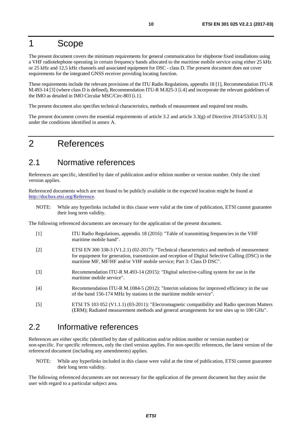# <span id="page-9-0"></span>1 Scope

The present document covers the minimum requirements for general communication for shipborne fixed installations using a VHF radiotelephone operating in certain frequency bands allocated to the maritime mobile service using either 25 kHz or 25 kHz and 12,5 kHz channels and associated equipment for DSC - class D. The present document does not cover requirements for the integrated GNSS receiver providing locating function.

These requirements include the relevant provisions of the ITU Radio Regulations, appendix 18 [1], Recommendation ITU-R M.493-14 [3] (where class D is defined), Recommendation ITU-R M.825-3 [[i.4\]](#page-10-0) and incorporate the relevant guidelines of the IMO as detailed in IMO Circular MSC/Circ-803 [\[i.1](#page-10-0)].

The present document also specifies technical characteristics, methods of measurement and required test results.

The present document covers the essential requirements of article 3.2 and article 3.3(g) of Directive 2014/53/EU [\[i.3\]](#page-10-0) under the conditions identified in annex A.

# 2 References

### 2.1 Normative references

References are specific, identified by date of publication and/or edition number or version number. Only the cited version applies.

Referenced documents which are not found to be publicly available in the expected location might be found at <http://docbox.etsi.org/Reference>.

NOTE: While any hyperlinks included in this clause were valid at the time of publication, ETSI cannot guarantee their long term validity.

The following referenced documents are necessary for the application of the present document.

[1] ITU Radio Regulations, appendix 18 (2016): "Table of transmitting frequencies in the VHF maritime mobile band". [2] ETSI EN 300 338-3 (V1.2.1) (02-2017): "Technical characteristics and methods of measurement for equipment for generation, transmission and reception of Digital Selective Calling (DSC) in the maritime MF, MF/HF and/or VHF mobile service; Part 3: Class D DSC". [3] Recommendation ITU-R M.493-14 (2015): "Digital selective-calling system for use in the maritime mobile service". [4] Recommendation ITU-R M.1084-5 (2012): "Interim solutions for improved efficiency in the use of the band 156-174 MHz by stations in the maritime mobile service". [5] ETSI TS 103 052 (V1.1.1) (03-2011): "Electromagnetic compatibility and Radio spectrum Matters (ERM); Radiated measurement methods and general arrangements for test sites up to 100 GHz".

### 2.2 Informative references

References are either specific (identified by date of publication and/or edition number or version number) or non-specific. For specific references, only the cited version applies. For non-specific references, the latest version of the referenced document (including any amendments) applies.

NOTE: While any hyperlinks included in this clause were valid at the time of publication, ETSI cannot guarantee their long term validity.

The following referenced documents are not necessary for the application of the present document but they assist the user with regard to a particular subject area.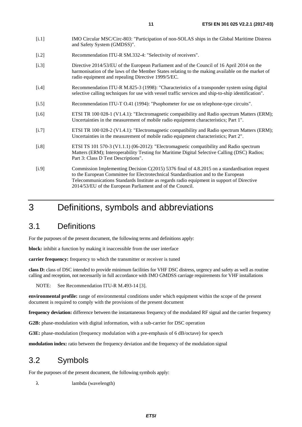- <span id="page-10-0"></span>[i.1] IMO Circular MSC/Circ-803: "Participation of non-SOLAS ships in the Global Maritime Distress and Safety System (GMDSS)".
- [i.2] Recommendation ITU-R SM.332-4: "Selectivity of receivers".
- [i.3] Directive 2014/53/EU of the European Parliament and of the Council of 16 April 2014 on the harmonisation of the laws of the Member States relating to the making available on the market of radio equipment and repealing Directive 1999/5/EC.
- [i.4] Recommendation ITU-R M.825-3 (1998): "Characteristics of a transponder system using digital selective calling techniques for use with vessel traffic services and ship-to-ship identification".
- [i.5] Recommendation ITU-T O.41 (1994): "Psophometer for use on telephone-type circuits".
- [i.6] ETSI TR 100 028-1 (V1.4.1): "Electromagnetic compatibility and Radio spectrum Matters (ERM); Uncertainties in the measurement of mobile radio equipment characteristics; Part 1".
- [i.7] ETSI TR 100 028-2 (V1.4.1): "Electromagnetic compatibility and Radio spectrum Matters (ERM); Uncertainties in the measurement of mobile radio equipment characteristics; Part 2".
- [i.8] ETSI TS 101 570-3 (V1.1.1) (06-2012): "Electromagnetic compatibility and Radio spectrum Matters (ERM); Interoperability Testing for Maritime Digital Selective Calling (DSC) Radios; Part 3: Class D Test Descriptions".
- [i.9] Commission Implementing Decision C(2015) 5376 final of 4.8.2015 on a standardisation request to the European Committee for Electrotechnical Standardisation and to the European Telecommunications Standards Institute as regards radio equipment in support of Directive 2014/53/EU of the European Parliament and of the Council.

# 3 Definitions, symbols and abbreviations

# 3.1 Definitions

For the purposes of the present document, the following terms and definitions apply:

**block:** inhibit a function by making it inaccessible from the user interface

**carrier frequency:** frequency to which the transmitter or receiver is tuned

**class D:** class of DSC intended to provide minimum facilities for VHF DSC distress, urgency and safety as well as routine calling and reception, not necessarily in full accordance with IMO GMDSS carriage requirements for VHF installations

NOTE: See Recommendation ITU-R M.493-14 [\[3](#page-9-0)].

**environmental profile:** range of environmental conditions under which equipment within the scope of the present document is required to comply with the provisions of the present document

**frequency deviation:** difference between the instantaneous frequency of the modulated RF signal and the carrier frequency

**G2B:** phase-modulation with digital information, with a sub-carrier for DSC operation

**G3E:** phase-modulation (frequency modulation with a pre-emphasis of 6 dB/octave) for speech

**modulation index:** ratio between the frequency deviation and the frequency of the modulation signal

# 3.2 Symbols

For the purposes of the present document, the following symbols apply:

λ lambda (wavelength)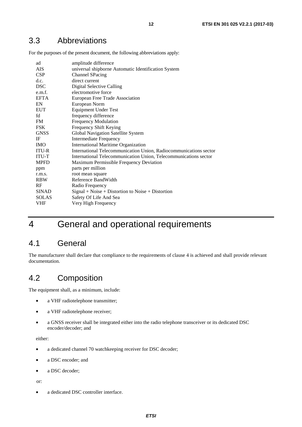### <span id="page-11-0"></span>3.3 Abbreviations

For the purposes of the present document, the following abbreviations apply:

| ad           | amplitude difference                                              |
|--------------|-------------------------------------------------------------------|
| <b>AIS</b>   | universal shipborne Automatic Identification System               |
| <b>CSP</b>   | <b>Channel SPacing</b>                                            |
| d.c.         | direct current                                                    |
| <b>DSC</b>   | Digital Selective Calling                                         |
| e.m.f.       | electromotive force                                               |
| <b>EFTA</b>  | European Free Trade Association                                   |
| EN           | European Norm                                                     |
| <b>EUT</b>   | <b>Equipment Under Test</b>                                       |
| fd           | frequency difference                                              |
| <b>FM</b>    | <b>Frequency Modulation</b>                                       |
| <b>FSK</b>   | Frequency Shift Keying                                            |
| <b>GNSS</b>  | Global Navigation Satellite System                                |
| IF           | <b>Intermediate Frequency</b>                                     |
| <b>IMO</b>   | <b>International Maritime Organization</b>                        |
| <b>ITU-R</b> | International Telecommunication Union, Radiocommunications sector |
| <b>ITU-T</b> | International Telecommunication Union, Telecommunications sector  |
| <b>MPFD</b>  | Maximum Permissible Frequency Deviation                           |
| ppm          | parts per million                                                 |
| r.m.s.       | root mean square                                                  |
| <b>RBW</b>   | Reference BandWidth                                               |
| <b>RF</b>    | Radio Frequency                                                   |
| <b>SINAD</b> | $Signal + Noise + Distortion to Noise + Distortion$               |
| <b>SOLAS</b> | Safety Of Life And Sea                                            |
| VHF          | Very High Frequency                                               |
|              |                                                                   |

# 4 General and operational requirements

### 4.1 General

The manufacturer shall declare that compliance to the requirements of clause 4 is achieved and shall provide relevant documentation.

# 4.2 Composition

The equipment shall, as a minimum, include:

- a VHF radiotelephone transmitter;
- a VHF radiotelephone receiver;
- a GNSS receiver shall be integrated either into the radio telephone transceiver or its dedicated DSC encoder/decoder; and

either:

- a dedicated channel 70 watchkeeping receiver for DSC decoder;
- a DSC encoder; and
- a DSC decoder;

or:

• a dedicated DSC controller interface.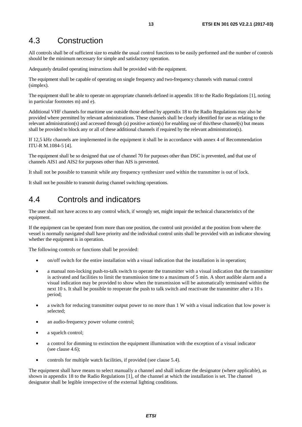### <span id="page-12-0"></span>4.3 Construction

All controls shall be of sufficient size to enable the usual control functions to be easily performed and the number of controls should be the minimum necessary for simple and satisfactory operation.

Adequately detailed operating instructions shall be provided with the equipment.

The equipment shall be capable of operating on single frequency and two-frequency channels with manual control (simplex).

The equipment shall be able to operate on appropriate channels defined in appendix 18 to the Radio Regulations [[1\]](#page-9-0), noting in particular footnotes m) and e).

Additional VHF channels for maritime use outside those defined by appendix 18 to the Radio Regulations may also be provided where permitted by relevant administrations. These channels shall be clearly identified for use as relating to the relevant administration(s) and accessed through (a) positive action(s) for enabling use of this/these channel(s) but means shall be provided to block any or all of these additional channels if required by the relevant administration(s).

If 12,5 kHz channels are implemented in the equipment it shall be in accordance with annex 4 of Recommendation ITU-R M.1084-5 [\[4](#page-9-0)].

The equipment shall be so designed that use of channel 70 for purposes other than DSC is prevented, and that use of channels AIS1 and AIS2 for purposes other than AIS is prevented.

It shall not be possible to transmit while any frequency synthesizer used within the transmitter is out of lock.

It shall not be possible to transmit during channel switching operations.

# 4.4 Controls and indicators

The user shall not have access to any control which, if wrongly set, might impair the technical characteristics of the equipment.

If the equipment can be operated from more than one position, the control unit provided at the position from where the vessel is normally navigated shall have priority and the individual control units shall be provided with an indicator showing whether the equipment is in operation.

The following controls or functions shall be provided:

- on/off switch for the entire installation with a visual indication that the installation is in operation;
- a manual non-locking push-to-talk switch to operate the transmitter with a visual indication that the transmitter is activated and facilities to limit the transmission time to a maximum of 5 min. A short audible alarm and a visual indication may be provided to show when the transmission will be automatically terminated within the next 10 s. It shall be possible to reoperate the push to talk switch and reactivate the transmitter after a 10 s period;
- a switch for reducing transmitter output power to no more than 1 W with a visual indication that low power is selected;
- an audio-frequency power volume control;
- a squelch control;
- a control for dimming to extinction the equipment illumination with the exception of a visual indicator (see clause 4.6);
- controls for multiple watch facilities, if provided (see clause 5.4).

The equipment shall have means to select manually a channel and shall indicate the designator (where applicable), as shown in appendix 18 to the Radio Regulations [\[1](#page-9-0)], of the channel at which the installation is set. The channel designator shall be legible irrespective of the external lighting conditions.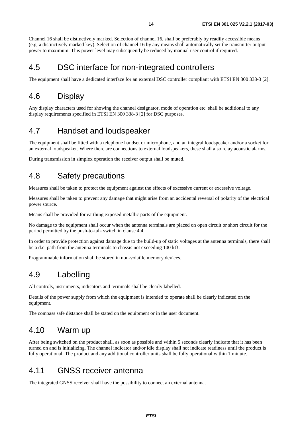<span id="page-13-0"></span>Channel 16 shall be distinctively marked. Selection of channel 16, shall be preferably by readily accessible means (e.g. a distinctively marked key). Selection of channel 16 by any means shall automatically set the transmitter output power to maximum. This power level may subsequently be reduced by manual user control if required.

# 4.5 DSC interface for non-integrated controllers

The equipment shall have a dedicated interface for an external DSC controller compliant with ETSI EN 300 338-3 [\[2](#page-9-0)].

# 4.6 Display

Any display characters used for showing the channel designator, mode of operation etc. shall be additional to any display requirements specified in ETSI EN 300 338-3 [[2\]](#page-9-0) for DSC purposes.

### 4.7 Handset and loudspeaker

The equipment shall be fitted with a telephone handset or microphone, and an integral loudspeaker and/or a socket for an external loudspeaker. Where there are connections to external loudspeakers, these shall also relay acoustic alarms.

During transmission in simplex operation the receiver output shall be muted.

# 4.8 Safety precautions

Measures shall be taken to protect the equipment against the effects of excessive current or excessive voltage.

Measures shall be taken to prevent any damage that might arise from an accidental reversal of polarity of the electrical power source.

Means shall be provided for earthing exposed metallic parts of the equipment.

No damage to the equipment shall occur when the antenna terminals are placed on open circuit or short circuit for the period permitted by the push-to-talk switch in clause 4.4.

In order to provide protection against damage due to the build-up of static voltages at the antenna terminals, there shall be a d.c. path from the antenna terminals to chassis not exceeding 100 k $\Omega$ .

Programmable information shall be stored in non-volatile memory devices.

# 4.9 Labelling

All controls, instruments, indicators and terminals shall be clearly labelled.

Details of the power supply from which the equipment is intended to operate shall be clearly indicated on the equipment.

The compass safe distance shall be stated on the equipment or in the user document.

### 4.10 Warm up

After being switched on the product shall, as soon as possible and within 5 seconds clearly indicate that it has been turned on and is initializing. The channel indicator and/or idle display shall not indicate readiness until the product is fully operational. The product and any additional controller units shall be fully operational within 1 minute.

### 4.11 GNSS receiver antenna

The integrated GNSS receiver shall have the possibility to connect an external antenna.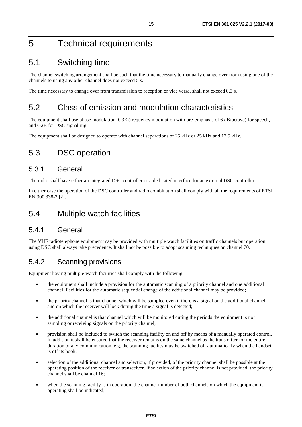# <span id="page-14-0"></span>5 Technical requirements

# 5.1 Switching time

The channel switching arrangement shall be such that the time necessary to manually change over from using one of the channels to using any other channel does not exceed 5 s.

The time necessary to change over from transmission to reception or vice versa, shall not exceed 0,3 s.

# 5.2 Class of emission and modulation characteristics

The equipment shall use phase modulation, G3E (frequency modulation with pre-emphasis of 6 dB/octave) for speech, and G2B for DSC signalling.

The equipment shall be designed to operate with channel separations of 25 kHz or 25 kHz and 12,5 kHz.

# 5.3 DSC operation

### 5.3.1 General

The radio shall have either an integrated DSC controller or a dedicated interface for an external DSC controller.

In either case the operation of the DSC controller and radio combination shall comply with all the requirements of ETSI EN 300 338-3 [\[2](#page-9-0)].

### 5.4 Multiple watch facilities

### 5.4.1 General

The VHF radiotelephone equipment may be provided with multiple watch facilities on traffic channels but operation using DSC shall always take precedence. It shall not be possible to adopt scanning techniques on channel 70.

### 5.4.2 Scanning provisions

Equipment having multiple watch facilities shall comply with the following:

- the equipment shall include a provision for the automatic scanning of a priority channel and one additional channel. Facilities for the automatic sequential change of the additional channel may be provided;
- the priority channel is that channel which will be sampled even if there is a signal on the additional channel and on which the receiver will lock during the time a signal is detected;
- the additional channel is that channel which will be monitored during the periods the equipment is not sampling or receiving signals on the priority channel;
- provision shall be included to switch the scanning facility on and off by means of a manually operated control. In addition it shall be ensured that the receiver remains on the same channel as the transmitter for the entire duration of any communication, e.g. the scanning facility may be switched off automatically when the handset is off its hook;
- selection of the additional channel and selection, if provided, of the priority channel shall be possible at the operating position of the receiver or transceiver. If selection of the priority channel is not provided, the priority channel shall be channel 16;
- when the scanning facility is in operation, the channel number of both channels on which the equipment is operating shall be indicated;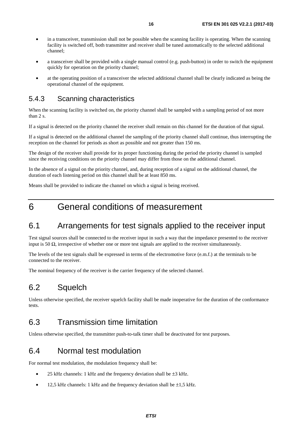- <span id="page-15-0"></span>• in a transceiver, transmission shall not be possible when the scanning facility is operating. When the scanning facility is switched off, both transmitter and receiver shall be tuned automatically to the selected additional channel;
- a transceiver shall be provided with a single manual control (e.g. push-button) in order to switch the equipment quickly for operation on the priority channel;
- at the operating position of a transceiver the selected additional channel shall be clearly indicated as being the operational channel of the equipment.

### 5.4.3 Scanning characteristics

When the scanning facility is switched on, the priority channel shall be sampled with a sampling period of not more than 2 s.

If a signal is detected on the priority channel the receiver shall remain on this channel for the duration of that signal.

If a signal is detected on the additional channel the sampling of the priority channel shall continue, thus interrupting the reception on the channel for periods as short as possible and not greater than 150 ms.

The design of the receiver shall provide for its proper functioning during the period the priority channel is sampled since the receiving conditions on the priority channel may differ from those on the additional channel.

In the absence of a signal on the priority channel, and, during reception of a signal on the additional channel, the duration of each listening period on this channel shall be at least 850 ms.

Means shall be provided to indicate the channel on which a signal is being received.

# 6 General conditions of measurement

### 6.1 Arrangements for test signals applied to the receiver input

Test signal sources shall be connected to the receiver input in such a way that the impedance presented to the receiver input is 50  $\Omega$ , irrespective of whether one or more test signals are applied to the receiver simultaneously.

The levels of the test signals shall be expressed in terms of the electromotive force (e.m.f.) at the terminals to be connected to the receiver.

The nominal frequency of the receiver is the carrier frequency of the selected channel.

# 6.2 Squelch

Unless otherwise specified, the receiver squelch facility shall be made inoperative for the duration of the conformance tests.

### 6.3 Transmission time limitation

Unless otherwise specified, the transmitter push-to-talk timer shall be deactivated for test purposes.

### 6.4 Normal test modulation

For normal test modulation, the modulation frequency shall be:

- 25 kHz channels: 1 kHz and the frequency deviation shall be  $\pm$ 3 kHz.
- 12,5 kHz channels: 1 kHz and the frequency deviation shall be  $\pm 1.5$  kHz.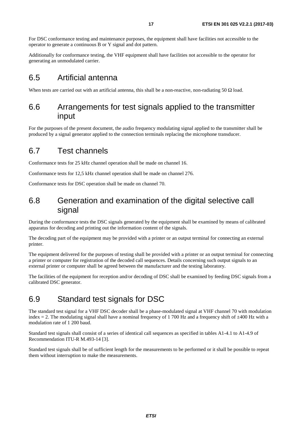<span id="page-16-0"></span>For DSC conformance testing and maintenance purposes, the equipment shall have facilities not accessible to the operator to generate a continuous B or Y signal and dot pattern.

Additionally for conformance testing, the VHF equipment shall have facilities not accessible to the operator for generating an unmodulated carrier.

### 6.5 Artificial antenna

When tests are carried out with an artificial antenna, this shall be a non-reactive, non-radiating 50  $\Omega$  load.

### 6.6 Arrangements for test signals applied to the transmitter input

For the purposes of the present document, the audio frequency modulating signal applied to the transmitter shall be produced by a signal generator applied to the connection terminals replacing the microphone transducer.

### 6.7 Test channels

Conformance tests for 25 kHz channel operation shall be made on channel 16.

Conformance tests for 12,5 kHz channel operation shall be made on channel 276.

Conformance tests for DSC operation shall be made on channel 70.

### 6.8 Generation and examination of the digital selective call signal

During the conformance tests the DSC signals generated by the equipment shall be examined by means of calibrated apparatus for decoding and printing out the information content of the signals.

The decoding part of the equipment may be provided with a printer or an output terminal for connecting an external printer.

The equipment delivered for the purposes of testing shall be provided with a printer or an output terminal for connecting a printer or computer for registration of the decoded call sequences. Details concerning such output signals to an external printer or computer shall be agreed between the manufacturer and the testing laboratory.

The facilities of the equipment for reception and/or decoding of DSC shall be examined by feeding DSC signals from a calibrated DSC generator.

# 6.9 Standard test signals for DSC

The standard test signal for a VHF DSC decoder shall be a phase-modulated signal at VHF channel 70 with modulation index  $= 2$ . The modulating signal shall have a nominal frequency of 1 700 Hz and a frequency shift of  $\pm 400$  Hz with a modulation rate of 1 200 baud.

Standard test signals shall consist of a series of identical call sequences as specified in tables A1-4.1 to A1-4.9 of Recommendation ITU-R M.493-14 [\[3](#page-9-0)].

Standard test signals shall be of sufficient length for the measurements to be performed or it shall be possible to repeat them without interruption to make the measurements.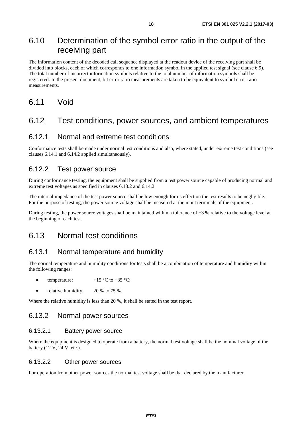### <span id="page-17-0"></span>6.10 Determination of the symbol error ratio in the output of the receiving part

The information content of the decoded call sequence displayed at the readout device of the receiving part shall be divided into blocks, each of which corresponds to one information symbol in the applied test signal (see clause 6.9). The total number of incorrect information symbols relative to the total number of information symbols shall be registered. In the present document, bit error ratio measurements are taken to be equivalent to symbol error ratio measurements.

### 6.11 Void

### 6.12 Test conditions, power sources, and ambient temperatures

#### 6.12.1 Normal and extreme test conditions

Conformance tests shall be made under normal test conditions and also, where stated, under extreme test conditions (see clauses 6.14.1 and 6.14.2 applied simultaneously).

#### 6.12.2 Test power source

During conformance testing, the equipment shall be supplied from a test power source capable of producing normal and extreme test voltages as specified in clauses 6.13.2 and 6.14.2.

The internal impedance of the test power source shall be low enough for its effect on the test results to be negligible. For the purpose of testing, the power source voltage shall be measured at the input terminals of the equipment.

During testing, the power source voltages shall be maintained within a tolerance of  $\pm 3$  % relative to the voltage level at the beginning of each test.

### 6.13 Normal test conditions

#### 6.13.1 Normal temperature and humidity

The normal temperature and humidity conditions for tests shall be a combination of temperature and humidity within the following ranges:

- temperature:  $+15 \degree C$  to  $+35 \degree C$ ;
- relative humidity:  $20\%$  to 75 %.

Where the relative humidity is less than 20 %, it shall be stated in the test report.

#### 6.13.2 Normal power sources

#### 6.13.2.1 Battery power source

Where the equipment is designed to operate from a battery, the normal test voltage shall be the nominal voltage of the battery (12 V, 24 V, etc.).

#### 6.13.2.2 Other power sources

For operation from other power sources the normal test voltage shall be that declared by the manufacturer.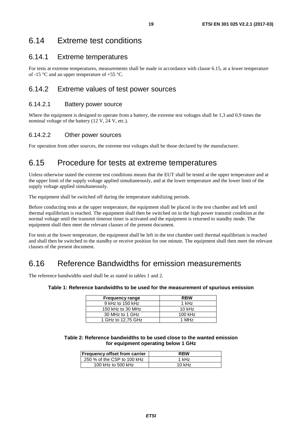### <span id="page-18-0"></span>6.14 Extreme test conditions

### 6.14.1 Extreme temperatures

For tests at extreme temperatures, measurements shall be made in accordance with clause 6.15, at a lower temperature of -15 °C and an upper temperature of +55 °C.

### 6.14.2 Extreme values of test power sources

#### 6.14.2.1 Battery power source

Where the equipment is designed to operate from a battery, the extreme test voltages shall be 1,3 and 0,9 times the nominal voltage of the battery (12 V, 24 V, etc.).

#### 6.14.2.2 Other power sources

For operation from other sources, the extreme test voltages shall be those declared by the manufacturer.

# 6.15 Procedure for tests at extreme temperatures

Unless otherwise stated the extreme test conditions means that the EUT shall be tested at the upper temperature and at the upper limit of the supply voltage applied simultaneously, and at the lower temperature and the lower limit of the supply voltage applied simultaneously.

The equipment shall be switched off during the temperature stabilizing periods.

Before conducting tests at the upper temperature, the equipment shall be placed in the test chamber and left until thermal equilibrium is reached. The equipment shall then be switched on in the high power transmit condition at the normal voltage until the transmit timeout timer is activated and the equipment is returned to standby mode. The equipment shall then meet the relevant clauses of the present document.

For tests at the lower temperature, the equipment shall be left in the test chamber until thermal equilibrium is reached and shall then be switched to the standby or receive position for one minute. The equipment shall then meet the relevant clauses of the present document.

### 6.16 Reference Bandwidths for emission measurements

The reference bandwidths used shall be as stated in tables 1 and 2.

**Table 1: Reference bandwidths to be used for the measurement of spurious emission** 

| <b>Frequency range</b> | <b>RBW</b> |
|------------------------|------------|
| 9 kHz to 150 kHz       | 1 kHz      |
| 150 kHz to 30 MHz      | $10$ kHz   |
| 30 MHz to 1 GHz        | 100 kHz    |
| 1 GHz to 12,75 GHz     | 1 MHz      |

**Table 2: Reference bandwidths to be used close to the wanted emission for equipment operating below 1 GHz** 

| <b>Frequency offset from carrier</b> | <b>RBW</b> |
|--------------------------------------|------------|
| 250 % of the CSP to 100 kHz          | 1 kHz      |
| 100 kHz to 500 kHz                   | $10$ kHz   |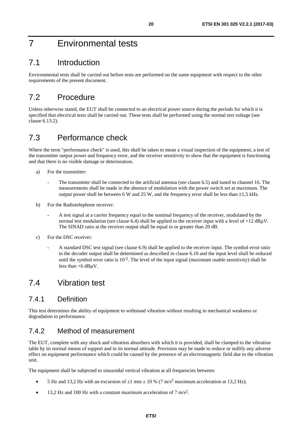# <span id="page-19-0"></span>7 Environmental tests

# 7.1 Introduction

Environmental tests shall be carried out before tests are performed on the same equipment with respect to the other requirements of the present document.

# 7.2 Procedure

Unless otherwise stated, the EUT shall be connected to an electrical power source during the periods for which it is specified that electrical tests shall be carried out. These tests shall be performed using the normal test voltage (see clause 6.13.2).

# 7.3 Performance check

Where the term "performance check" is used, this shall be taken to mean a visual inspection of the equipment, a test of the transmitter output power and frequency error, and the receiver sensitivity to show that the equipment is functioning and that there is no visible damage or deterioration.

- a) For the transmitter:
	- The transmitter shall be connected to the artificial antenna (see clause 6.5) and tuned to channel 16. The measurements shall be made in the absence of modulation with the power switch set at maximum. The output power shall be between 6 W and 25 W, and the frequency error shall be less than ±1,5 kHz.
- b) For the Radiotelephone receiver:
	- A test signal at a carrier frequency equal to the nominal frequency of the receiver, modulated by the normal test modulation (see clause 6.4) shall be applied to the receiver input with a level of  $+12$  dB $\mu$ V. The SINAD ratio at the receiver output shall be equal to or greater than 20 dB.
- c) For the DSC receiver:
	- A standard DSC test signal (see clause 6.9) shall be applied to the receiver input. The symbol error ratio in the decoder output shall be determined as described in clause 6.10 and the input level shall be reduced until the symbol error ratio is  $10^{-2}$ . The level of the input signal (maximum usable sensitivity) shall be less than +6 dBμV.

# 7.4 Vibration test

### 7.4.1 Definition

This test determines the ability of equipment to withstand vibration without resulting in mechanical weakness or degradation in performance.

### 7.4.2 Method of measurement

The EUT, complete with any shock and vibration absorbers with which it is provided, shall be clamped to the vibration table by its normal means of support and in its normal attitude. Provision may be made to reduce or nullify any adverse effect on equipment performance which could be caused by the presence of an electromagnetic field due to the vibration unit.

The equipment shall be subjected to sinusoidal vertical vibration at all frequencies between:

- 5 Hz and 13,2 Hz with an excursion of  $\pm 1$  mm  $\pm 10$  % (7 m/s<sup>2</sup> maximum acceleration at 13,2 Hz);
- 13,2 Hz and 100 Hz with a constant maximum acceleration of 7 m/s<sup>2</sup>.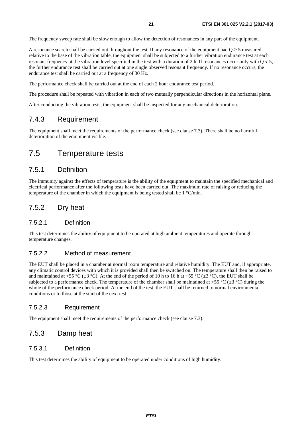<span id="page-20-0"></span>The frequency sweep rate shall be slow enough to allow the detection of resonances in any part of the equipment.

A resonance search shall be carried out throughout the test. If any resonance of the equipment had  $Q \ge 5$  measured relative to the base of the vibration table, the equipment shall be subjected to a further vibration endurance test at each resonant frequency at the vibration level specified in the test with a duration of 2 h. If resonances occur only with  $Q < 5$ , the further endurance test shall be carried out at one single observed resonant frequency. If no resonance occurs, the endurance test shall be carried out at a frequency of 30 Hz.

The performance check shall be carried out at the end of each 2 hour endurance test period.

The procedure shall be repeated with vibration in each of two mutually perpendicular directions in the horizontal plane.

After conducting the vibration tests, the equipment shall be inspected for any mechanical deterioration.

### 7.4.3 Requirement

The equipment shall meet the requirements of the performance check (see clause 7.3). There shall be no harmful deterioration of the equipment visible.

### 7.5 Temperature tests

### 7.5.1 Definition

The immunity against the effects of temperature is the ability of the equipment to maintain the specified mechanical and electrical performance after the following tests have been carried out. The maximum rate of raising or reducing the temperature of the chamber in which the equipment is being tested shall be 1 °C/min.

### 7.5.2 Dry heat

#### 7.5.2.1 Definition

This test determines the ability of equipment to be operated at high ambient temperatures and operate through temperature changes.

#### 7.5.2.2 Method of measurement

The EUT shall be placed in a chamber at normal room temperature and relative humidity. The EUT and, if appropriate, any climatic control devices with which it is provided shall then be switched on. The temperature shall then be raised to and maintained at +55 °C ( $\pm$ 3 °C). At the end of the period of 10 h to 16 h at +55 °C ( $\pm$ 3 °C), the EUT shall be subjected to a performance check. The temperature of the chamber shall be maintained at +55  $^{\circ}C$  ( $\pm$ 3  $^{\circ}C$ ) during the whole of the performance check period. At the end of the test, the EUT shall be returned to normal environmental conditions or to those at the start of the next test.

#### 7.5.2.3 Requirement

The equipment shall meet the requirements of the performance check (see clause 7.3).

### 7.5.3 Damp heat

#### 7.5.3.1 Definition

This test determines the ability of equipment to be operated under conditions of high humidity.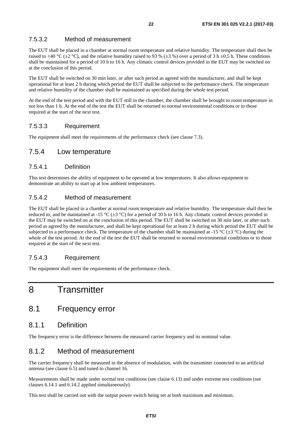#### <span id="page-21-0"></span>7.5.3.2 Method of measurement

The EUT shall be placed in a chamber at normal room temperature and relative humidity. The temperature shall then be raised to +40 °C ( $\pm$ 2 °C), and the relative humidity raised to 93 % ( $\pm$ 3 %) over a period of 3 h  $\pm$ 0,5 h. These conditions shall be maintained for a period of 10 h to 16 h. Any climatic control devices provided in the EUT may be switched on at the conclusion of this period.

The EUT shall be switched on 30 min later, or after such period as agreed with the manufacturer, and shall be kept operational for at least 2 h during which period the EUT shall be subjected to the performance check. The temperature and relative humidity of the chamber shall be maintained as specified during the whole test period.

At the end of the test period and with the EUT still in the chamber, the chamber shall be brought to room temperature in not less than 1 h. At the end of the test the EUT shall be returned to normal environmental conditions or to those required at the start of the next test.

#### 7.5.3.3 Requirement

The equipment shall meet the requirements of the performance check (see clause 7.3).

#### 7.5.4 Low temperature

#### 7.5.4.1 Definition

This test determines the ability of equipment to be operated at low temperatures. It also allows equipment to demonstrate an ability to start up at low ambient temperatures.

#### 7.5.4.2 Method of measurement

The EUT shall be placed in a chamber at normal room temperature and relative humidity. The temperature shall then be reduced to, and be maintained at -15 °C ( $\pm 3$  °C) for a period of 10 h to 16 h. Any climatic control devices provided in the EUT may be switched on at the conclusion of this period. The EUT shall be switched on 30 min later, or after such period as agreed by the manufacturer, and shall be kept operational for at least 2 h during which period the EUT shall be subjected to a performance check. The temperature of the chamber shall be maintained at -15 °C ( $\pm$ 3 °C) during the whole of the test period. At the end of the test the EUT shall be returned to normal environmental conditions or to those required at the start of the next test.

#### 7.5.4.3 Requirement

The equipment shall meet the requirements of the performance check.

# 8 Transmitter

### 8.1 Frequency error

### 8.1.1 Definition

The frequency error is the difference between the measured carrier frequency and its nominal value.

### 8.1.2 Method of measurement

The carrier frequency shall be measured in the absence of modulation, with the transmitter connected to an artificial antenna (see clause 6.5) and tuned to channel 16.

Measurements shall be made under normal test conditions (see clause 6.13) and under extreme test conditions (see clauses 6.14.1 and 6.14.2 applied simultaneously).

This test shall be carried out with the output power switch being set at both maximum and minimum.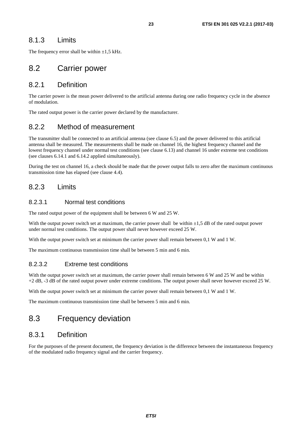### <span id="page-22-0"></span>8.1.3 Limits

The frequency error shall be within  $\pm 1.5$  kHz.

### 8.2 Carrier power

#### 8.2.1 Definition

The carrier power is the mean power delivered to the artificial antenna during one radio frequency cycle in the absence of modulation.

The rated output power is the carrier power declared by the manufacturer.

### 8.2.2 Method of measurement

The transmitter shall be connected to an artificial antenna (see clause 6.5) and the power delivered to this artificial antenna shall be measured. The measurements shall be made on channel 16, the highest frequency channel and the lowest frequency channel under normal test conditions (see clause 6.13) and channel 16 under extreme test conditions (see clauses 6.14.1 and 6.14.2 applied simultaneously).

During the test on channel 16, a check should be made that the power output falls to zero after the maximum continuous transmission time has elapsed (see clause 4.4).

### 8.2.3 Limits

#### 8.2.3.1 Normal test conditions

The rated output power of the equipment shall be between 6 W and 25 W.

With the output power switch set at maximum, the carrier power shall be within  $\pm 1.5$  dB of the rated output power under normal test conditions. The output power shall never however exceed 25 W.

With the output power switch set at minimum the carrier power shall remain between 0,1 W and 1 W.

The maximum continuous transmission time shall be between 5 min and 6 min.

#### 8.2.3.2 Extreme test conditions

With the output power switch set at maximum, the carrier power shall remain between 6 W and 25 W and be within +2 dB, -3 dB of the rated output power under extreme conditions. The output power shall never however exceed 25 W.

With the output power switch set at minimum the carrier power shall remain between 0,1 W and 1 W.

The maximum continuous transmission time shall be between 5 min and 6 min.

# 8.3 Frequency deviation

### 8.3.1 Definition

For the purposes of the present document, the frequency deviation is the difference between the instantaneous frequency of the modulated radio frequency signal and the carrier frequency.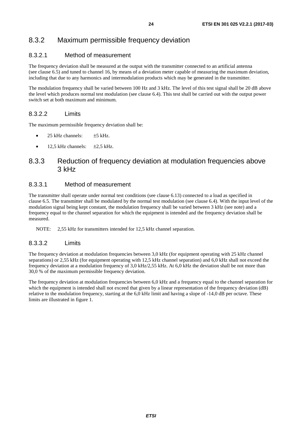### <span id="page-23-0"></span>8.3.2 Maximum permissible frequency deviation

#### 8.3.2.1 Method of measurement

The frequency deviation shall be measured at the output with the transmitter connected to an artificial antenna (see clause 6.5) and tuned to channel 16, by means of a deviation meter capable of measuring the maximum deviation, including that due to any harmonics and intermodulation products which may be generated in the transmitter.

The modulation frequency shall be varied between 100 Hz and 3 kHz. The level of this test signal shall be 20 dB above the level which produces normal test modulation (see clause 6.4). This test shall be carried out with the output power switch set at both maximum and minimum.

#### 8.3.2.2 Limits

The maximum permissible frequency deviation shall be:

- 25 kHz channels:  $±5$  kHz.
- 12,5 kHz channels:  $\pm 2.5$  kHz.

### 8.3.3 Reduction of frequency deviation at modulation frequencies above 3 kHz

#### 8.3.3.1 Method of measurement

The transmitter shall operate under normal test conditions (see clause 6.13) connected to a load as specified in clause 6.5. The transmitter shall be modulated by the normal test modulation (see clause 6.4). With the input level of the modulation signal being kept constant, the modulation frequency shall be varied between 3 kHz (see note) and a frequency equal to the channel separation for which the equipment is intended and the frequency deviation shall be measured.

NOTE: 2,55 kHz for transmitters intended for 12,5 kHz channel separation.

#### 8.3.3.2 Limits

The frequency deviation at modulation frequencies between 3,0 kHz (for equipment operating with 25 kHz channel separations) or 2,55 kHz (for equipment operating with 12,5 kHz channel separation) and 6,0 kHz shall not exceed the frequency deviation at a modulation frequency of 3,0 kHz/2,55 kHz. At 6,0 kHz the deviation shall be not more than 30,0 % of the maximum permissible frequency deviation.

The frequency deviation at modulation frequencies between 6,0 kHz and a frequency equal to the channel separation for which the equipment is intended shall not exceed that given by a linear representation of the frequency deviation (dB) relative to the modulation frequency, starting at the 6,0 kHz limit and having a slope of -14,0 dB per octave. These limits are illustrated in figure 1.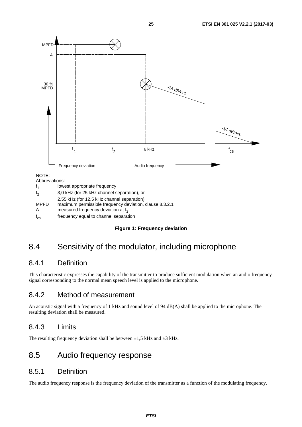<span id="page-24-0"></span>

A measured frequency deviation at  $f<sub>2</sub>$ 

 $f_{\rm cs}$ frequency equal to channel separation

#### **Figure 1: Frequency deviation**

# 8.4 Sensitivity of the modulator, including microphone

### 8.4.1 Definition

This characteristic expresses the capability of the transmitter to produce sufficient modulation when an audio frequency signal corresponding to the normal mean speech level is applied to the microphone.

### 8.4.2 Method of measurement

An acoustic signal with a frequency of 1 kHz and sound level of 94 dB(A) shall be applied to the microphone. The resulting deviation shall be measured.

### 8.4.3 Limits

The resulting frequency deviation shall be between  $\pm 1.5$  kHz and  $\pm 3$  kHz.

### 8.5 Audio frequency response

#### 8.5.1 Definition

The audio frequency response is the frequency deviation of the transmitter as a function of the modulating frequency.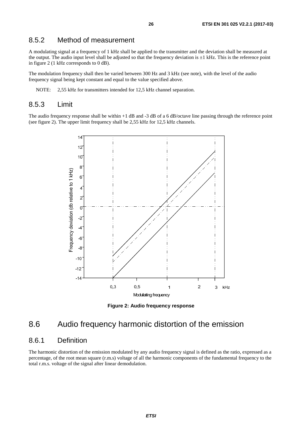### <span id="page-25-0"></span>8.5.2 Method of measurement

A modulating signal at a frequency of 1 kHz shall be applied to the transmitter and the deviation shall be measured at the output. The audio input level shall be adjusted so that the frequency deviation is  $\pm 1$  kHz. This is the reference point in figure 2 (1 kHz corresponds to 0 dB).

The modulation frequency shall then be varied between 300 Hz and 3 kHz (see note), with the level of the audio frequency signal being kept constant and equal to the value specified above.

NOTE: 2,55 kHz for transmitters intended for 12,5 kHz channel separation.

#### 8.5.3 Limit

The audio frequency response shall be within +1 dB and -3 dB of a 6 dB/octave line passing through the reference point (see figure 2). The upper limit frequency shall be 2,55 kHz for 12,5 kHz channels.



**Figure 2: Audio frequency response** 

### 8.6 Audio frequency harmonic distortion of the emission

#### 8.6.1 Definition

The harmonic distortion of the emission modulated by any audio frequency signal is defined as the ratio, expressed as a percentage, of the root mean square (r.m.s) voltage of all the harmonic components of the fundamental frequency to the total r.m.s. voltage of the signal after linear demodulation.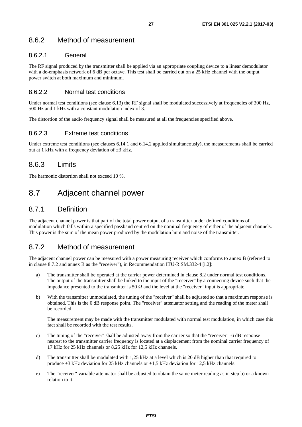### <span id="page-26-0"></span>8.6.2 Method of measurement

#### 8.6.2.1 General

The RF signal produced by the transmitter shall be applied via an appropriate coupling device to a linear demodulator with a de-emphasis network of 6 dB per octave. This test shall be carried out on a 25 kHz channel with the output power switch at both maximum and minimum.

#### 8.6.2.2 Normal test conditions

Under normal test conditions (see clause 6.13) the RF signal shall be modulated successively at frequencies of 300 Hz, 500 Hz and 1 kHz with a constant modulation index of 3.

The distortion of the audio frequency signal shall be measured at all the frequencies specified above.

#### 8.6.2.3 Extreme test conditions

Under extreme test conditions (see clauses 6.14.1 and 6.14.2 applied simultaneously), the measurements shall be carried out at 1 kHz with a frequency deviation of  $\pm 3$  kHz.

### 8.6.3 Limits

The harmonic distortion shall not exceed 10 %.

### 8.7 Adjacent channel power

### 8.7.1 Definition

The adjacent channel power is that part of the total power output of a transmitter under defined conditions of modulation which falls within a specified passband centred on the nominal frequency of either of the adjacent channels. This power is the sum of the mean power produced by the modulation hum and noise of the transmitter.

### 8.7.2 Method of measurement

The adjacent channel power can be measured with a power measuring receiver which conforms to annex B (referred to in clause 8.7.2 and annex B as the "receiver"), in Recommendation ITU-R SM.332-4 [\[i.2](#page-10-0)]:

- a) The transmitter shall be operated at the carrier power determined in clause 8.2 under normal test conditions. The output of the transmitter shall be linked to the input of the "receiver" by a connecting device such that the impedance presented to the transmitter is 50  $\Omega$  and the level at the "receiver" input is appropriate.
- b) With the transmitter unmodulated, the tuning of the "receiver" shall be adjusted so that a maximum response is obtained. This is the 0 dB response point. The "receiver" attenuator setting and the reading of the meter shall be recorded.

 The measurement may be made with the transmitter modulated with normal test modulation, in which case this fact shall be recorded with the test results.

- c) The tuning of the "receiver" shall be adjusted away from the carrier so that the "receiver" -6 dB response nearest to the transmitter carrier frequency is located at a displacement from the nominal carrier frequency of 17 kHz for 25 kHz channels or 8,25 kHz for 12,5 kHz channels.
- d) The transmitter shall be modulated with 1,25 kHz at a level which is 20 dB higher than that required to produce  $\pm 3$  kHz deviation for 25 kHz channels or  $\pm 1.5$  kHz deviation for 12.5 kHz channels.
- e) The "receiver" variable attenuator shall be adjusted to obtain the same meter reading as in step b) or a known relation to it.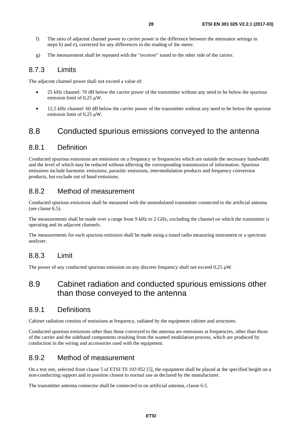- <span id="page-27-0"></span>f) The ratio of adjacent channel power to carrier power is the difference between the attenuator settings in steps b) and e), corrected for any differences in the reading of the meter.
- g) The measurement shall be repeated with the "receiver" tuned to the other side of the carrier.

### 8.7.3 Limits

The adjacent channel power shall not exceed a value of:

- 25 kHz channel: 70 dB below the carrier power of the transmitter without any need to be below the spurious emission limit of 0,25 µW.
- 12.5 kHz channel: 60 dB below the carrier power of the transmitter without any need to be below the spurious emission limit of 0.25 uW.

# 8.8 Conducted spurious emissions conveyed to the antenna

### 8.8.1 Definition

Conducted spurious emissions are emissions on a frequency or frequencies which are outside the necessary bandwidth and the level of which may be reduced without affecting the corresponding transmission of information. Spurious emissions include harmonic emissions, parasitic emissions, intermodulation products and frequency conversion products, but exclude out of band emissions.

### 8.8.2 Method of measurement

Conducted spurious emissions shall be measured with the unmodulated transmitter connected to the artificial antenna (see clause 6.5).

The measurements shall be made over a range from 9 kHz to 2 GHz, excluding the channel on which the transmitter is operating and its adjacent channels.

The measurements for each spurious emission shall be made using a tuned radio measuring instrument or a spectrum analyser.

### 8.8.3 Limit

The power of any conducted spurious emission on any discrete frequency shall not exceed  $0.25 \mu W$ .

### 8.9 Cabinet radiation and conducted spurious emissions other than those conveyed to the antenna

### 8.9.1 Definitions

Cabinet radiation consists of emissions at frequency, radiated by the equipment cabinet and structures.

Conducted spurious emissions other than those conveyed to the antenna are emissions at frequencies, other than those of the carrier and the sideband components resulting from the wanted modulation process, which are produced by conduction in the wiring and accessories used with the equipment.

### 8.9.2 Method of measurement

On a test site, selected from clause 5 of ETSI TS 103 052 [\[5](#page-9-0)], the equipment shall be placed at the specified height on a non-conducting support and in position closest to normal use as declared by the manufacturer.

The transmitter antenna connector shall be connected to on artificial antenna, clause 6.5.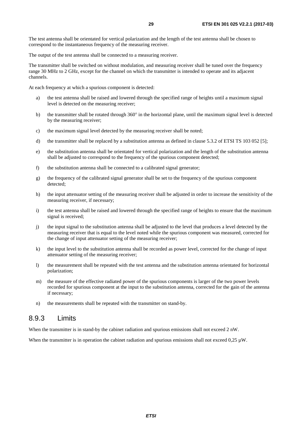<span id="page-28-0"></span>The test antenna shall be orientated for vertical polarization and the length of the test antenna shall be chosen to correspond to the instantaneous frequency of the measuring receiver.

The output of the test antenna shall be connected to a measuring receiver.

The transmitter shall be switched on without modulation, and measuring receiver shall be tuned over the frequency range 30 MHz to 2 GHz, except for the channel on which the transmitter is intended to operate and its adjacent channels.

At each frequency at which a spurious component is detected:

- a) the test antenna shall be raised and lowered through the specified range of heights until a maximum signal level is detected on the measuring receiver;
- b) the transmitter shall be rotated through  $360^\circ$  in the horizontal plane, until the maximum signal level is detected by the measuring receiver;
- c) the maximum signal level detected by the measuring receiver shall be noted;
- d) the transmitter shall be replaced by a substitution antenna as defined in clause 5.3.2 of ETSI TS 103 052 [\[5](#page-9-0)];
- e) the substitution antenna shall be orientated for vertical polarization and the length of the substitution antenna shall be adjusted to correspond to the frequency of the spurious component detected;
- f) the substitution antenna shall be connected to a calibrated signal generator;
- g) the frequency of the calibrated signal generator shall be set to the frequency of the spurious component detected;
- h) the input attenuator setting of the measuring receiver shall be adjusted in order to increase the sensitivity of the measuring receiver, if necessary;
- i) the test antenna shall be raised and lowered through the specified range of heights to ensure that the maximum signal is received;
- j) the input signal to the substitution antenna shall be adjusted to the level that produces a level detected by the measuring receiver that is equal to the level noted while the spurious component was measured, corrected for the change of input attenuator setting of the measuring receiver;
- k) the input level to the substitution antenna shall be recorded as power level, corrected for the change of input attenuator setting of the measuring receiver;
- l) the measurement shall be repeated with the test antenna and the substitution antenna orientated for horizontal polarization;
- m) the measure of the effective radiated power of the spurious components is larger of the two power levels recorded for spurious component at the input to the substitution antenna, corrected for the gain of the antenna if necessary;
- n) the measurements shall be repeated with the transmitter on stand-by.

#### 8.9.3 Limits

When the transmitter is in stand-by the cabinet radiation and spurious emissions shall not exceed 2 nW.

When the transmitter is in operation the cabinet radiation and spurious emissions shall not exceed  $0.25 \mu W$ .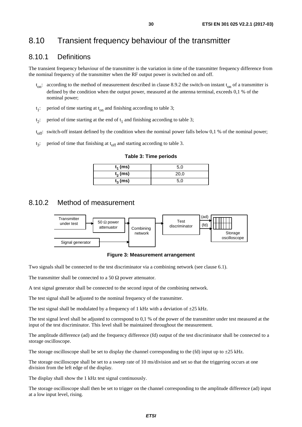# <span id="page-29-0"></span>8.10 Transient frequency behaviour of the transmitter

### 8.10.1 Definitions

The transient frequency behaviour of the transmitter is the variation in time of the transmitter frequency difference from the nominal frequency of the transmitter when the RF output power is switched on and off.

- $t_{on}$ : according to the method of measurement described in clause 8.9.2 the switch-on instant  $t_{on}$  of a transmitter is defined by the condition when the output power, measured at the antenna terminal, exceeds 0,1 % of the nominal power;
- $t_1$ : period of time starting at  $t_{on}$  and finishing according to table 3;
- $t_2$ : period of time starting at the end of  $t_1$  and finishing according to table 3;
- t<sub>off</sub>: switch-off instant defined by the condition when the nominal power falls below 0,1 % of the nominal power;
- $t_2$ : period of time that finishing at  $t_{off}$  and starting according to table 3.

#### **Table 3: Time periods**

| $t_1$ (ms) | 5,0  |
|------------|------|
| $t_2$ (ms) | 20,0 |
| $t_3$ (ms) | 5,0  |

### 8.10.2 Method of measurement



**Figure 3: Measurement arrangement** 

Two signals shall be connected to the test discriminator via a combining network (see clause 6.1).

The transmitter shall be connected to a 50  $\Omega$  power attenuator.

A test signal generator shall be connected to the second input of the combining network.

The test signal shall be adjusted to the nominal frequency of the transmitter.

The test signal shall be modulated by a frequency of 1 kHz with a deviation of  $\pm 25$  kHz.

The test signal level shall be adjusted to correspond to 0,1 % of the power of the transmitter under test measured at the input of the test discriminator. This level shall be maintained throughout the measurement.

The amplitude difference (ad) and the frequency difference (fd) output of the test discriminator shall be connected to a storage oscilloscope.

The storage oscilloscope shall be set to display the channel corresponding to the (fd) input up to  $\pm 25$  kHz.

The storage oscilloscope shall be set to a sweep rate of 10 ms/division and set so that the triggering occurs at one division from the left edge of the display.

The display shall show the 1 kHz test signal continuously.

The storage oscilloscope shall then be set to trigger on the channel corresponding to the amplitude difference (ad) input at a low input level, rising.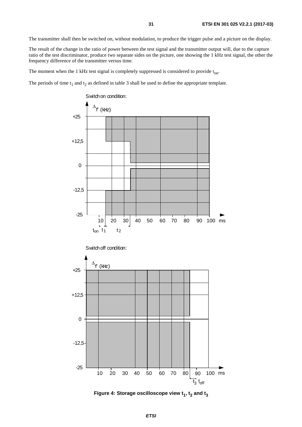The transmitter shall then be switched on, without modulation, to produce the trigger pulse and a picture on the display.

The result of the change in the ratio of power between the test signal and the transmitter output will, due to the capture ratio of the test discriminator, produce two separate sides on the picture, one showing the 1 kHz test signal, the other the frequency difference of the transmitter versus time.

The moment when the 1 kHz test signal is completely suppressed is considered to provide  $t_{on}$ .

The periods of time  $t_1$  and  $t_2$  as defined in table 3 shall be used to define the appropriate template.



Figure 4: Storage oscilloscope view  $t_1$ ,  $t_2$  and  $t_3$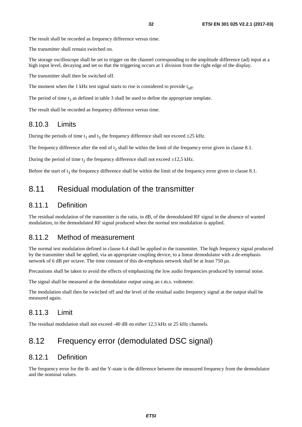<span id="page-31-0"></span>The result shall be recorded as frequency difference versus time.

The transmitter shall remain switched on.

The storage oscilloscope shall be set to trigger on the channel corresponding to the amplitude difference (ad) input at a high input level, decaying and set so that the triggering occurs at 1 division from the right edge of the display.

The transmitter shall then be switched off.

The moment when the 1 kHz test signal starts to rise is considered to provide  $t_{\rm off}$ .

The period of time  $t_3$  as defined in table 3 shall be used to define the appropriate template.

The result shall be recorded as frequency difference versus time.

#### 8.10.3 Limits

During the periods of time  $t_1$  and  $t_3$  the frequency difference shall not exceed  $\pm 25$  kHz.

The frequency difference after the end of  $t_2$  shall be within the limit of the frequency error given in clause 8.1.

During the period of time  $t_2$  the frequency difference shall not exceed  $\pm 12.5$  kHz.

Before the start of  $t_3$  the frequency difference shall be within the limit of the frequency error given in clause 8.1.

### 8.11 Residual modulation of the transmitter

#### 8.11.1 Definition

The residual modulation of the transmitter is the ratio, in dB, of the demodulated RF signal in the absence of wanted modulation, to the demodulated RF signal produced when the normal test modulation is applied.

#### 8.11.2 Method of measurement

The normal test modulation defined in clause 6.4 shall be applied to the transmitter. The high frequency signal produced by the transmitter shall be applied, via an appropriate coupling device, to a linear demodulator with a de-emphasis network of 6 dB per octave. The time constant of this de-emphasis network shall be at least 750 μs.

Precautions shall be taken to avoid the effects of emphasizing the low audio frequencies produced by internal noise.

The signal shall be measured at the demodulator output using an r.m.s. voltmeter.

The modulation shall then be switched off and the level of the residual audio frequency signal at the output shall be measured again.

#### 8.11.3 Limit

The residual modulation shall not exceed -40 dB on either 12,5 kHz or 25 kHz channels.

# 8.12 Frequency error (demodulated DSC signal)

### 8.12.1 Definition

The frequency error for the B- and the Y-state is the difference between the measured frequency from the demodulator and the nominal values.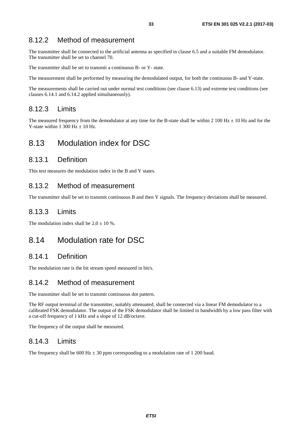### <span id="page-32-0"></span>8.12.2 Method of measurement

The transmitter shall be connected to the artificial antenna as specified in clause 6.5 and a suitable FM demodulator. The transmitter shall be set to channel 70.

The transmitter shall be set to transmit a continuous B- or Y- state.

The measurement shall be performed by measuring the demodulated output, for both the continuous B- and Y-state.

The measurements shall be carried out under normal test conditions (see clause 6.13) and extreme test conditions (see clauses 6.14.1 and 6.14.2 applied simultaneously).

### 8.12.3 Limits

The measured frequency from the demodulator at any time for the B-state shall be within 2 100 Hz  $\pm$  10 Hz and for the Y-state within 1 300 Hz  $\pm$  10 Hz.

# 8.13 Modulation index for DSC

### 8.13.1 Definition

This test measures the modulation index in the B and Y states.

### 8.13.2 Method of measurement

The transmitter shall be set to transmit continuous B and then Y signals. The frequency deviations shall be measured.

### 8.13.3 Limits

The modulation index shall be  $2.0 \pm 10$  %.

### 8.14 Modulation rate for DSC

### 8.14.1 Definition

The modulation rate is the bit stream speed measured in bit/s.

### 8.14.2 Method of measurement

The transmitter shall be set to transmit continuous dot pattern.

The RF output terminal of the transmitter, suitably attenuated, shall be connected via a linear FM demodulator to a calibrated FSK demodulator. The output of the FSK demodulator shall be limited in bandwidth by a low pass filter with a cut-off frequency of 1 kHz and a slope of 12 dB/octave.

The frequency of the output shall be measured.

### 8.14.3 Limits

The frequency shall be 600 Hz  $\pm$  30 ppm corresponding to a modulation rate of 1 200 baud.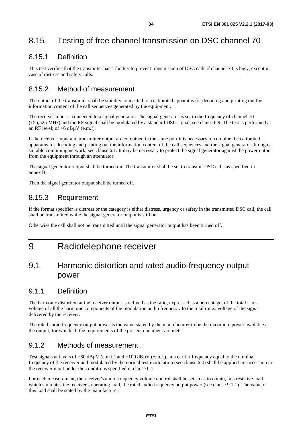# <span id="page-33-0"></span>8.15 Testing of free channel transmission on DSC channel 70

### 8.15.1 Definition

This test verifies that the transmitter has a facility to prevent transmission of DSC calls if channel 70 is busy, except in case of distress and safety calls.

### 8.15.2 Method of measurement

The output of the transmitter shall be suitably connected to a calibrated apparatus for decoding and printing out the information content of the call sequences generated by the equipment.

The receiver input is connected to a signal generator. The signal generator is set to the frequency of channel 70 (156,525 MHz) and the RF signal shall be modulated by a standard DSC signal, see clause 6.9. The test is performed at an RF level; of  $+6$  dB $\mu$ V (e.m.f).

If the receiver input and transmitter output are combined in the same port it is necessary to combine the calibrated apparatus for decoding and printing out the information content of the call sequences and the signal generator through a suitable combining network, see clause 6.1. It may be necessary to protect the signal generator against the power output from the equipment through an attenuator.

The signal generator output shall be turned on. The transmitter shall be set to transmit DSC calls as specified in annex B.

Then the signal generator output shall be turned off.

### 8.15.3 Requirement

If the format specifier is distress or the category is either distress, urgency or safety in the transmitted DSC call, the call shall be transmitted while the signal generator output is still on.

Otherwise the call shall not be transmitted until the signal generator output has been turned off.

# 9 Radiotelephone receiver

### 9.1 Harmonic distortion and rated audio-frequency output power

### 9.1.1 Definition

The harmonic distortion at the receiver output is defined as the ratio, expressed as a percentage, of the total r.m.s. voltage of all the harmonic components of the modulation audio frequency to the total r.m.s. voltage of the signal delivered by the receiver.

The rated audio frequency output power is the value stated by the manufacturer to be the maximum power available at the output, for which all the requirements of the present document are met.

### 9.1.2 Methods of measurement

Test signals at levels of  $+60$  dB $\mu$ V (e.m.f.) and  $+100$  dB $\mu$ V (e.m.f.), at a carrier frequency equal to the nominal frequency of the receiver and modulated by the normal test modulation (see clause 6.4) shall be applied in succession to the receiver input under the conditions specified in clause 6.1.

For each measurement, the receiver's audio-frequency volume control shall be set so as to obtain, in a resistive load which simulates the receiver's operating load, the rated audio frequency output power (see clause 9.1.1). The value of this load shall be stated by the manufacturer.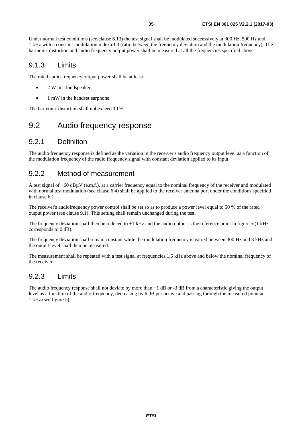<span id="page-34-0"></span>Under normal test conditions (see clause 6.13) the test signal shall be modulated successively at 300 Hz, 500 Hz and 1 kHz with a constant modulation index of 3 (ratio between the frequency deviation and the modulation frequency). The harmonic distortion and audio frequency output power shall be measured at all the frequencies specified above.

### 9.1.3 Limits

The rated audio-frequency output power shall be at least:

- 2 W in a loudspeaker:
- 1 mW in the handset earphone.

The harmonic distortion shall not exceed 10 %.

### 9.2 Audio frequency response

### 9.2.1 Definition

The audio frequency response is defined as the variation in the receiver's audio frequency output level as a function of the modulation frequency of the radio frequency signal with constant deviation applied to its input.

### 9.2.2 Method of measurement

A test signal of  $+60$  dB $\mu$ V (e.m.f.), at a carrier frequency equal to the nominal frequency of the receiver and modulated with normal test modulation (see clause 6.4) shall be applied to the receiver antenna port under the conditions specified in clause 6.1.

The receiver's audiofrequency power control shall be set so as to produce a power level equal to 50 % of the rated output power (see clause 9.1). This setting shall remain unchanged during the test.

The frequency deviation shall then be reduced to  $\pm 1$  kHz and the audio output is the reference point in figure 5 (1 kHz corresponds to 0 dB).

The frequency deviation shall remain constant while the modulation frequency is varied between 300 Hz and 3 kHz and the output level shall then be measured.

The measurement shall be repeated with a test signal at frequencies 1,5 kHz above and below the nominal frequency of the receiver.

### 9.2.3 Limits

The audio frequency response shall not deviate by more than  $+1$  dB or  $-3$  dB from a characteristic giving the output level as a function of the audio frequency, decreasing by 6 dB per octave and passing through the measured point at 1 kHz (see figure 5).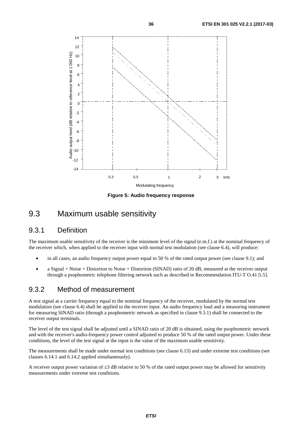<span id="page-35-0"></span>

**Figure 5: Audio frequency response** 

### 9.3 Maximum usable sensitivity

#### 9.3.1 Definition

The maximum usable sensitivity of the receiver is the minimum level of the signal (e.m.f.) at the nominal frequency of the receiver which, when applied to the receiver input with normal test modulation (see clause 6.4), will produce:

- in all cases, an audio frequency output power equal to 50 % of the rated output power (see clause 9.1); and
- a Signal + Noise + Distortion to Noise + Distortion (SINAD) ratio of 20 dB, measured at the receiver output through a psophometric telephone filtering network such as described in Recommendation ITU-T O.41 [\[i.5](#page-10-0)].

#### 9.3.2 Method of measurement

A test signal at a carrier frequency equal to the nominal frequency of the receiver, modulated by the normal test modulation (see clause 6.4) shall be applied to the receiver input. An audio frequency load and a measuring instrument for measuring SINAD ratio (through a psophometric network as specified in clause 9.3.1) shall be connected to the receiver output terminals.

The level of the test signal shall be adjusted until a SINAD ratio of 20 dB is obtained, using the psophometric network and with the receiver's audio-frequency power control adjusted to produce 50 % of the rated output power. Under these conditions, the level of the test signal at the input is the value of the maximum usable sensitivity.

The measurements shall be made under normal test conditions (see clause 6.13) and under extreme test conditions (see clauses 6.14.1 and 6.14.2 applied simultaneously).

A receiver output power variation of  $\pm 3$  dB relative to 50 % of the rated output power may be allowed for sensitivity measurements under extreme test conditions.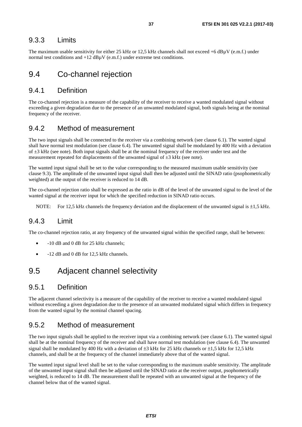#### <span id="page-36-0"></span>9.3.3 Limits

The maximum usable sensitivity for either 25 kHz or 12,5 kHz channels shall not exceed +6 dBµV (e.m.f.) under normal test conditions and  $+12$  dB $\mu$ V (e.m.f.) under extreme test conditions.

### 9.4 Co-channel rejection

#### 9.4.1 Definition

The co-channel rejection is a measure of the capability of the receiver to receive a wanted modulated signal without exceeding a given degradation due to the presence of an unwanted modulated signal, both signals being at the nominal frequency of the receiver.

### 9.4.2 Method of measurement

The two input signals shall be connected to the receiver via a combining network (see clause 6.1). The wanted signal shall have normal test modulation (see clause 6.4). The unwanted signal shall be modulated by 400 Hz with a deviation of  $\pm 3$  kHz (see note). Both input signals shall be at the nominal frequency of the receiver under test and the measurement repeated for displacements of the unwanted signal of  $\pm 3$  kHz (see note).

The wanted input signal shall be set to the value corresponding to the measured maximum usable sensitivity (see clause 9.3). The amplitude of the unwanted input signal shall then be adjusted until the SINAD ratio (psophometrically weighted) at the output of the receiver is reduced to 14 dB.

The co-channel rejection ratio shall be expressed as the ratio in dB of the level of the unwanted signal to the level of the wanted signal at the receiver input for which the specified reduction in SINAD ratio occurs.

NOTE: For 12.5 kHz channels the frequency deviation and the displacement of the unwanted signal is  $\pm 1.5$  kHz.

### 9.4.3 Limit

The co-channel rejection ratio, at any frequency of the unwanted signal within the specified range, shall be between:

- $-10$  dB and 0 dB for 25 kHz channels;
- $-12$  dB and 0 dB for 12,5 kHz channels.

### 9.5 Adjacent channel selectivity

#### 9.5.1 Definition

The adjacent channel selectivity is a measure of the capability of the receiver to receive a wanted modulated signal without exceeding a given degradation due to the presence of an unwanted modulated signal which differs in frequency from the wanted signal by the nominal channel spacing.

### 9.5.2 Method of measurement

The two input signals shall be applied to the receiver input via a combining network (see clause 6.1). The wanted signal shall be at the nominal frequency of the receiver and shall have normal test modulation (see clause 6.4). The unwanted signal shall be modulated by 400 Hz with a deviation of  $\pm 3$  kHz for 25 kHz channels or  $\pm 1.5$  kHz for 12.5 kHz channels, and shall be at the frequency of the channel immediately above that of the wanted signal.

The wanted input signal level shall be set to the value corresponding to the maximum usable sensitivity. The amplitude of the unwanted input signal shall then be adjusted until the SINAD ratio at the receiver output, psophometrically weighted, is reduced to 14 dB. The measurement shall be repeated with an unwanted signal at the frequency of the channel below that of the wanted signal.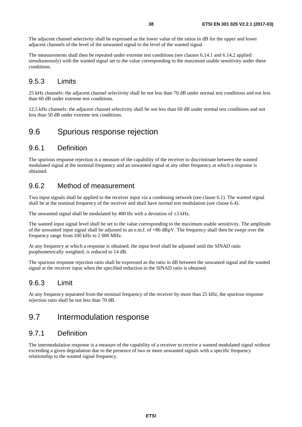<span id="page-37-0"></span>The adjacent channel selectivity shall be expressed as the lower value of the ratios in dB for the upper and lower adjacent channels of the level of the unwanted signal to the level of the wanted signal.

The measurements shall then be repeated under extreme test conditions (see clauses 6.14.1 and 6.14.2 applied simultaneously) with the wanted signal set to the value corresponding to the maximum usable sensitivity under these conditions.

### 9.5.3 Limits

25 kHz channels: the adjacent channel selectivity shall be not less than 70 dB under normal test conditions and not less than 60 dB under extreme test conditions.

12,5 kHz channels: the adjacent channel selectivity shall be not less than 60 dB under normal test conditions and not less than 50 dB under extreme test conditions.

### 9.6 Spurious response rejection

#### 9.6.1 Definition

The spurious response rejection is a measure of the capability of the receiver to discriminate between the wanted modulated signal at the nominal frequency and an unwanted signal at any other frequency at which a response is obtained.

### 9.6.2 Method of measurement

Two input signals shall be applied to the receiver input via a combining network (see clause 6.1). The wanted signal shall be at the nominal frequency of the receiver and shall have normal test modulation (see clause 6.4).

The unwanted signal shall be modulated by 400 Hz with a deviation of  $\pm 3$  kHz.

The wanted input signal level shall be set to the value corresponding to the maximum usable sensitivity. The amplitude of the unwanted input signal shall be adjusted to an e.m.f. of +86 dBµV. The frequency shall then be swept over the frequency range from 100 kHz to 2 000 MHz.

At any frequency at which a response is obtained, the input level shall be adjusted until the SINAD ratio psophometrically weighted, is reduced to 14 dB.

The spurious response rejection ratio shall be expressed as the ratio in dB between the unwanted signal and the wanted signal at the receiver input when the specified reduction in the SINAD ratio is obtained.

### 9.6.3 Limit

At any frequency separated from the nominal frequency of the receiver by more than 25 kHz, the spurious response rejection ratio shall be not less than 70 dB.

### 9.7 Intermodulation response

### 9.7.1 Definition

The intermodulation response is a measure of the capability of a receiver to receive a wanted modulated signal without exceeding a given degradation due to the presence of two or more unwanted signals with a specific frequency relationship to the wanted signal frequency.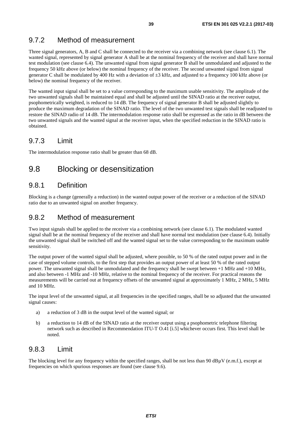### <span id="page-38-0"></span>9.7.2 Method of measurement

Three signal generators, A, B and C shall be connected to the receiver via a combining network (see clause 6.1). The wanted signal, represented by signal generator A shall be at the nominal frequency of the receiver and shall have normal test modulation (see clause 6.4). The unwanted signal from signal generator B shall be unmodulated and adjusted to the frequency 50 kHz above (or below) the nominal frequency of the receiver. The second unwanted signal from signal generator C shall be modulated by 400 Hz with a deviation of  $\pm 3$  kHz, and adjusted to a frequency 100 kHz above (or below) the nominal frequency of the receiver.

The wanted input signal shall be set to a value corresponding to the maximum usable sensitivity. The amplitude of the two unwanted signals shall be maintained equal and shall be adjusted until the SINAD ratio at the receiver output, psophometrically weighted, is reduced to 14 dB. The frequency of signal generator B shall be adjusted slightly to produce the maximum degradation of the SINAD ratio. The level of the two unwanted test signals shall be readjusted to restore the SINAD radio of 14 dB. The intermodulation response ratio shall be expressed as the ratio in dB between the two unwanted signals and the wanted signal at the receiver input, when the specified reduction in the SINAD ratio is obtained.

### 9.7.3 Limit

The intermodulation response ratio shall be greater than 68 dB.

# 9.8 Blocking or desensitization

### 9.8.1 Definition

Blocking is a change (generally a reduction) in the wanted output power of the receiver or a reduction of the SINAD ratio due to an unwanted signal on another frequency.

### 9.8.2 Method of measurement

Two input signals shall be applied to the receiver via a combining network (see clause 6.1). The modulated wanted signal shall be at the nominal frequency of the receiver and shall have normal test modulation (see clause 6.4). Initially the unwanted signal shall be switched off and the wanted signal set to the value corresponding to the maximum usable sensitivity.

The output power of the wanted signal shall be adjusted, where possible, to 50 % of the rated output power and in the case of stepped volume controls, to the first step that provides an output power of at least 50 % of the rated output power. The unwanted signal shall be unmodulated and the frequency shall be swept between +1 MHz and +10 MHz, and also between -1 MHz and -10 MHz, relative to the nominal frequency of the receiver. For practical reasons the measurements will be carried out at frequency offsets of the unwanted signal at approximately 1 MHz, 2 MHz, 5 MHz and 10 MHz.

The input level of the unwanted signal, at all frequencies in the specified ranges, shall be so adjusted that the unwanted signal causes:

- a) a reduction of 3 dB in the output level of the wanted signal; or
- b) a reduction to 14 dB of the SINAD ratio at the receiver output using a psophometric telephone filtering network such as described in Recommendation ITU-T O.41 [[i.5\]](#page-10-0) whichever occurs first. This level shall be noted.

### 9.8.3 Limit

The blocking level for any frequency within the specified ranges, shall be not less than 90 dBµV (e.m.f.), except at frequencies on which spurious responses are found (see clause 9.6).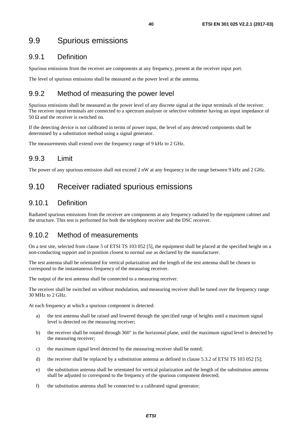### <span id="page-39-0"></span>9.9 Spurious emissions

### 9.9.1 Definition

Spurious emissions from the receiver are components at any frequency, present at the receiver input port.

The level of spurious emissions shall be measured as the power level at the antenna.

### 9.9.2 Method of measuring the power level

Spurious emissions shall be measured as the power level of any discrete signal at the input terminals of the receiver. The receiver input terminals are connected to a spectrum analyser or selective voltmeter having an input impedance of 50  $\Omega$  and the receiver is switched on.

If the detecting device is not calibrated in terms of power input, the level of any detected components shall be determined by a substitution method using a signal generator.

The measurements shall extend over the frequency range of 9 kHz to 2 GHz.

### 9.9.3 Limit

The power of any spurious emission shall not exceed 2 nW at any frequency in the range between 9 kHz and 2 GHz.

# 9.10 Receiver radiated spurious emissions

### 9.10.1 Definition

Radiated spurious emissions from the receiver are components at any frequency radiated by the equipment cabinet and the structure. This test is performed for both the telephony receiver and the DSC receiver.

### 9.10.2 Method of measurements

On a test site, selected from clause 5 of ETSI TS 103 052 [\[5](#page-9-0)], the equipment shall be placed at the specified height on a non-conducting support and in position closest to normal use as declared by the manufacturer.

The test antenna shall be orientated for vertical polarization and the length of the test antenna shall be chosen to correspond to the instantaneous frequency of the measuring receiver.

The output of the test antenna shall be connected to a measuring receiver.

The receiver shall be switched on without modulation, and measuring receiver shall be tuned over the frequency range 30 MHz to 2 GHz.

At each frequency at which a spurious component is detected:

- a) the test antenna shall be raised and lowered through the specified range of heights until a maximum signal level is detected on the measuring receiver;
- b) the receiver shall be rotated through 360° in the horizontal plane, until the maximum signal level is detected by the measuring receiver;
- c) the maximum signal level detected by the measuring receiver shall be noted;
- d) the receiver shall be replaced by a substitution antenna as defined in clause 5.3.2 of ETSI TS 103 052 [\[5](#page-9-0)];
- e) the substitution antenna shall be orientated for vertical polarization and the length of the substitution antenna shall be adjusted to correspond to the frequency of the spurious component detected;
- f) the substitution antenna shall be connected to a calibrated signal generator;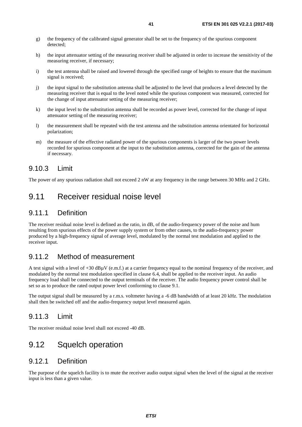- <span id="page-40-0"></span>g) the frequency of the calibrated signal generator shall be set to the frequency of the spurious component detected;
- h) the input attenuator setting of the measuring receiver shall be adjusted in order to increase the sensitivity of the measuring receiver, if necessary;
- i) the test antenna shall be raised and lowered through the specified range of heights to ensure that the maximum signal is received;
- j) the input signal to the substitution antenna shall be adjusted to the level that produces a level detected by the measuring receiver that is equal to the level noted while the spurious component was measured, corrected for the change of input attenuator setting of the measuring receiver;
- k) the input level to the substitution antenna shall be recorded as power level, corrected for the change of input attenuator setting of the measuring receiver;
- l) the measurement shall be repeated with the test antenna and the substitution antenna orientated for horizontal polarization;
- m) the measure of the effective radiated power of the spurious components is larger of the two power levels recorded for spurious component at the input to the substitution antenna, corrected for the gain of the antenna if necessary.

### 9.10.3 Limit

The power of any spurious radiation shall not exceed 2 nW at any frequency in the range between 30 MHz and 2 GHz.

### 9.11 Receiver residual noise level

### 9.11.1 Definition

The receiver residual noise level is defined as the ratio, in dB, of the audio-frequency power of the noise and hum resulting from spurious effects of the power supply system or from other causes, to the audio-frequency power produced by a high-frequency signal of average level, modulated by the normal test modulation and applied to the receiver input.

### 9.11.2 Method of measurement

A test signal with a level of  $+30$  dB $\mu$ V (e.m.f.) at a carrier frequency equal to the nominal frequency of the receiver, and modulated by the normal test modulation specified in clause 6.4, shall be applied to the receiver input. An audio frequency load shall be connected to the output terminals of the receiver. The audio frequency power control shall be set so as to produce the rated output power level conforming to clause 9.1.

The output signal shall be measured by a r.m.s. voltmeter having a -6 dB bandwidth of at least 20 kHz. The modulation shall then be switched off and the audio-frequency output level measured again.

### 9.11.3 Limit

The receiver residual noise level shall not exceed -40 dB.

# 9.12 Squelch operation

#### 9.12.1 Definition

The purpose of the squelch facility is to mute the receiver audio output signal when the level of the signal at the receiver input is less than a given value.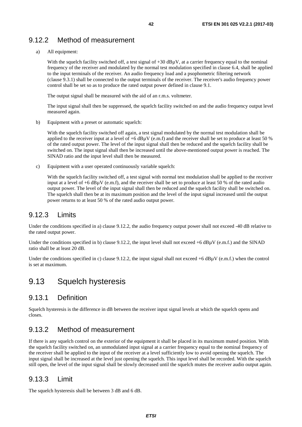### <span id="page-41-0"></span>9.12.2 Method of measurement

a) All equipment:

With the squelch facility switched off, a test signal of  $+30$  dB $\mu$ V, at a carrier frequency equal to the nominal frequency of the receiver and modulated by the normal test modulation specified in clause 6.4, shall be applied to the input terminals of the receiver. An audio frequency load and a psophometric filtering network (clause 9.3.1) shall be connected to the output terminals of the receiver. The receiver's audio frequency power control shall be set so as to produce the rated output power defined in clause 9.1.

The output signal shall be measured with the aid of an r.m.s. voltmeter.

 The input signal shall then be suppressed, the squelch facility switched on and the audio frequency output level measured again.

b) Equipment with a preset or automatic squelch:

 With the squelch facility switched off again, a test signal modulated by the normal test modulation shall be applied to the receiver input at a level of  $+6$  dB<sub>u</sub>V (e.m.f) and the receiver shall be set to produce at least 50 % of the rated output power. The level of the input signal shall then be reduced and the squelch facility shall be switched on. The input signal shall then be increased until the above-mentioned output power is reached. The SINAD ratio and the input level shall then be measured.

c) Equipment with a user operated continuously variable squelch:

With the squelch facility switched off, a test signal with normal test modulation shall be applied to the receiver input at a level of  $+6$  dB $\mu$ V (e.m.f), and the receiver shall be set to produce at least 50 % of the rated audio output power. The level of the input signal shall then be reduced and the squelch facility shall be switched on. The squelch shall then be at its maximum position and the level of the input signal increased until the output power returns to at least 50 % of the rated audio output power.

### 9.12.3 Limits

Under the conditions specified in a) clause 9.12.2, the audio frequency output power shall not exceed -40 dB relative to the rated output power.

Under the conditions specified in b) clause 9.12.2, the input level shall not exceed  $+6$  dB $\mu$ V (e.m.f.) and the SINAD ratio shall be at least 20 dB.

Under the conditions specified in c) clause 9.12.2, the input signal shall not exceed  $+6$  dB $\mu$ V (e.m.f.) when the control is set at maximum.

### 9.13 Squelch hysteresis

### 9.13.1 Definition

Squelch hysteresis is the difference in dB between the receiver input signal levels at which the squelch opens and closes.

### 9.13.2 Method of measurement

If there is any squelch control on the exterior of the equipment it shall be placed in its maximum muted position. With the squelch facility switched on, an unmodulated input signal at a carrier frequency equal to the nominal frequency of the receiver shall be applied to the input of the receiver at a level sufficiently low to avoid opening the squelch. The input signal shall be increased at the level just opening the squelch. This input level shall be recorded. With the squelch still open, the level of the input signal shall be slowly decreased until the squelch mutes the receiver audio output again.

### 9.13.3 Limit

The squelch hysteresis shall be between 3 dB and 6 dB.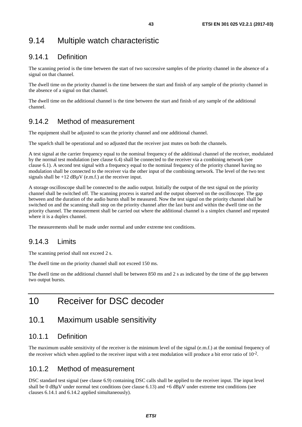# <span id="page-42-0"></span>9.14 Multiple watch characteristic

### 9.14.1 Definition

The scanning period is the time between the start of two successive samples of the priority channel in the absence of a signal on that channel.

The dwell time on the priority channel is the time between the start and finish of any sample of the priority channel in the absence of a signal on that channel.

The dwell time on the additional channel is the time between the start and finish of any sample of the additional channel.

### 9.14.2 Method of measurement

The equipment shall be adjusted to scan the priority channel and one additional channel.

The squelch shall be operational and so adjusted that the receiver just mutes on both the channels.

A test signal at the carrier frequency equal to the nominal frequency of the additional channel of the receiver, modulated by the normal test modulation (see clause 6.4) shall be connected to the receiver via a combining network (see clause 6.1). A second test signal with a frequency equal to the nominal frequency of the priority channel having no modulation shall be connected to the receiver via the other input of the combining network. The level of the two test signals shall be  $+12$  dB $\mu$ V (e.m.f.) at the receiver input.

A storage oscilloscope shall be connected to the audio output. Initially the output of the test signal on the priority channel shall be switched off. The scanning process is started and the output observed on the oscilloscope. The gap between and the duration of the audio bursts shall be measured. Now the test signal on the priority channel shall be switched on and the scanning shall stop on the priority channel after the last burst and within the dwell time on the priority channel. The measurement shall be carried out where the additional channel is a simplex channel and repeated where it is a duplex channel.

The measurements shall be made under normal and under extreme test conditions.

### 9.14.3 Limits

The scanning period shall not exceed 2 s.

The dwell time on the priority channel shall not exceed 150 ms.

The dwell time on the additional channel shall be between 850 ms and 2 s as indicated by the time of the gap between two output bursts.

# 10 Receiver for DSC decoder

### 10.1 Maximum usable sensitivity

### 10.1.1 Definition

The maximum usable sensitivity of the receiver is the minimum level of the signal (e.m.f.) at the nominal frequency of the receiver which when applied to the receiver input with a test modulation will produce a bit error ratio of  $10^{-2}$ .

### 10.1.2 Method of measurement

DSC standard test signal (see clause 6.9) containing DSC calls shall be applied to the receiver input. The input level shall be 0 dBμV under normal test conditions (see clause 6.13) and +6 dBμV under extreme test conditions (see clauses 6.14.1 and 6.14.2 applied simultaneously).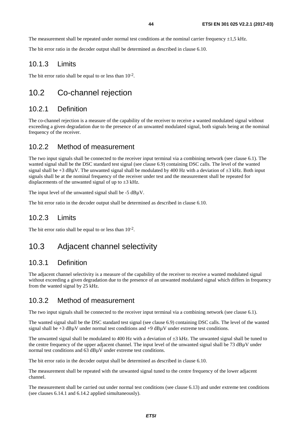<span id="page-43-0"></span>The measurement shall be repeated under normal test conditions at the nominal carrier frequency  $\pm 1.5$  kHz.

The bit error ratio in the decoder output shall be determined as described in clause 6.10.

#### 10.1.3 Limits

The bit error ratio shall be equal to or less than  $10^{-2}$ .

### 10.2 Co-channel rejection

### 10.2.1 Definition

The co-channel rejection is a measure of the capability of the receiver to receive a wanted modulated signal without exceeding a given degradation due to the presence of an unwanted modulated signal, both signals being at the nominal frequency of the receiver.

#### 10.2.2 Method of measurement

The two input signals shall be connected to the receiver input terminal via a combining network (see clause 6.1). The wanted signal shall be the DSC standard test signal (see clause 6.9) containing DSC calls. The level of the wanted signal shall be +3 dBuV. The unwanted signal shall be modulated by 400 Hz with a deviation of  $\pm 3$  kHz. Both input signals shall be at the nominal frequency of the receiver under test and the measurement shall be repeated for displacements of the unwanted signal of up to  $\pm 3$  kHz.

The input level of the unwanted signal shall be -5 dBuV.

The bit error ratio in the decoder output shall be determined as described in clause 6.10.

### 10.2.3 Limits

The bit error ratio shall be equal to or less than  $10^{-2}$ .

### 10.3 Adjacent channel selectivity

#### 10.3.1 Definition

The adjacent channel selectivity is a measure of the capability of the receiver to receive a wanted modulated signal without exceeding a given degradation due to the presence of an unwanted modulated signal which differs in frequency from the wanted signal by 25 kHz.

#### 10.3.2 Method of measurement

The two input signals shall be connected to the receiver input terminal via a combining network (see clause 6.1).

The wanted signal shall be the DSC standard test signal (see clause 6.9) containing DSC calls. The level of the wanted signal shall be  $+3$  dB $\mu$ V under normal test conditions and  $+9$  dB $\mu$ V under extreme test conditions.

The unwanted signal shall be modulated to 400 Hz with a deviation of  $\pm 3$  kHz. The unwanted signal shall be tuned to the centre frequency of the upper adjacent channel. The input level of the unwanted signal shall be 73 dBµV under normal test conditions and 63 dBµV under extreme test conditions.

The bit error ratio in the decoder output shall be determined as described in clause 6.10.

The measurement shall be repeated with the unwanted signal tuned to the centre frequency of the lower adjacent channel.

The measurement shall be carried out under normal test conditions (see clause 6.13) and under extreme test conditions (see clauses 6.14.1 and 6.14.2 applied simultaneously).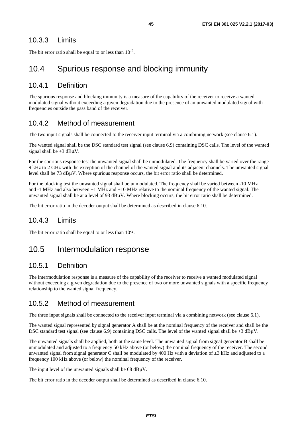### <span id="page-44-0"></span>10.3.3 Limits

The bit error ratio shall be equal to or less than  $10^{-2}$ .

### 10.4 Spurious response and blocking immunity

### 10.4.1 Definition

The spurious response and blocking immunity is a measure of the capability of the receiver to receive a wanted modulated signal without exceeding a given degradation due to the presence of an unwanted modulated signal with frequencies outside the pass band of the receiver.

### 10.4.2 Method of measurement

The two input signals shall be connected to the receiver input terminal via a combining network (see clause 6.1).

The wanted signal shall be the DSC standard test signal (see clause 6.9) containing DSC calls. The level of the wanted signal shall be  $+3$  dB $\mu$ V.

For the spurious response test the unwanted signal shall be unmodulated. The frequency shall be varied over the range 9 kHz to 2 GHz with the exception of the channel of the wanted signal and its adjacent channels. The unwanted signal level shall be 73 dBµV. Where spurious response occurs, the bit error ratio shall be determined.

For the blocking test the unwanted signal shall be unmodulated. The frequency shall be varied between -10 MHz and -1 MHz and also between +1 MHz and +10 MHz relative to the nominal frequency of the wanted signal. The unwanted signal shall be at a level of 93  $dB\mu V$ . Where blocking occurs, the bit error ratio shall be determined.

The bit error ratio in the decoder output shall be determined as described in clause 6.10.

### 10.4.3 Limits

The bit error ratio shall be equal to or less than  $10^{-2}$ .

### 10.5 Intermodulation response

### 10.5.1 Definition

The intermodulation response is a measure of the capability of the receiver to receive a wanted modulated signal without exceeding a given degradation due to the presence of two or more unwanted signals with a specific frequency relationship to the wanted signal frequency.

### 10.5.2 Method of measurement

The three input signals shall be connected to the receiver input terminal via a combining network (see clause 6.1).

The wanted signal represented by signal generator A shall be at the nominal frequency of the receiver and shall be the DSC standard test signal (see clause 6.9) containing DSC calls. The level of the wanted signal shall be +3 dBµV.

The unwanted signals shall be applied, both at the same level. The unwanted signal from signal generator B shall be unmodulated and adjusted to a frequency 50 kHz above (or below) the nominal frequency of the receiver. The second unwanted signal from signal generator C shall be modulated by 400 Hz with a deviation of  $\pm 3$  kHz and adjusted to a frequency 100 kHz above (or below) the nominal frequency of the receiver.

The input level of the unwanted signals shall be 68 dB $\mu$ V.

The bit error ratio in the decoder output shall be determined as described in clause 6.10.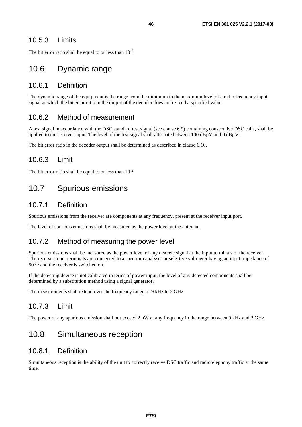### <span id="page-45-0"></span>10.5.3 Limits

The bit error ratio shall be equal to or less than  $10^{-2}$ .

### 10.6 Dynamic range

#### 10.6.1 Definition

The dynamic range of the equipment is the range from the minimum to the maximum level of a radio frequency input signal at which the bit error ratio in the output of the decoder does not exceed a specified value.

### 10.6.2 Method of measurement

A test signal in accordance with the DSC standard test signal (see clause 6.9) containing consecutive DSC calls, shall be applied to the receiver input. The level of the test signal shall alternate between  $100 \text{ dB}_{\text{H}}V$  and  $0 \text{ dB}_{\text{H}}V$ .

The bit error ratio in the decoder output shall be determined as described in clause 6.10.

### 10.6.3 Limit

The bit error ratio shall be equal to or less than  $10^{-2}$ .

### 10.7 Spurious emissions

#### 10.7.1 Definition

Spurious emissions from the receiver are components at any frequency, present at the receiver input port.

The level of spurious emissions shall be measured as the power level at the antenna.

### 10.7.2 Method of measuring the power level

Spurious emissions shall be measured as the power level of any discrete signal at the input terminals of the receiver. The receiver input terminals are connected to a spectrum analyser or selective voltmeter having an input impedance of 50 Ω and the receiver is switched on.

If the detecting device is not calibrated in terms of power input, the level of any detected components shall be determined by a substitution method using a signal generator.

The measurements shall extend over the frequency range of 9 kHz to 2 GHz.

### 10.7.3 Limit

The power of any spurious emission shall not exceed 2 nW at any frequency in the range between 9 kHz and 2 GHz.

# 10.8 Simultaneous reception

#### 10.8.1 Definition

Simultaneous reception is the ability of the unit to correctly receive DSC traffic and radiotelephony traffic at the same time.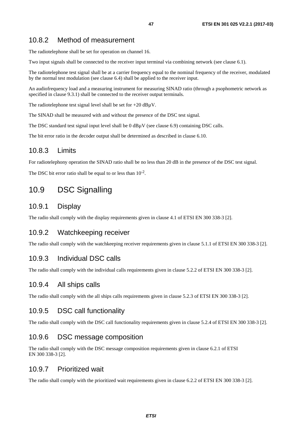### <span id="page-46-0"></span>10.8.2 Method of measurement

The radiotelephone shall be set for operation on channel 16.

Two input signals shall be connected to the receiver input terminal via combining network (see clause 6.1).

The radiotelephone test signal shall be at a carrier frequency equal to the nominal frequency of the receiver, modulated by the normal test modulation (see clause 6.4) shall be applied to the receiver input.

An audiofrequency load and a measuring instrument for measuring SINAD ratio (through a psophometric network as specified in clause 9.3.1) shall be connected to the receiver output terminals.

The radiotelephone test signal level shall be set for  $+20$  dB $\mu$ V.

The SINAD shall be measured with and without the presence of the DSC test signal.

The DSC standard test signal input level shall be 0 dB $\mu$ V (see clause 6.9) containing DSC calls.

The bit error ratio in the decoder output shall be determined as described in clause 6.10.

#### 10.8.3 Limits

For radiotelephony operation the SINAD ratio shall be no less than 20 dB in the presence of the DSC test signal.

The DSC bit error ratio shall be equal to or less than  $10^{-2}$ .

### 10.9 DSC Signalling

#### 10.9.1 Display

The radio shall comply with the display requirements given in clause 4.1 of ETSI EN 300 338-3 [\[2](#page-9-0)].

#### 10.9.2 Watchkeeping receiver

The radio shall comply with the watchkeeping receiver requirements given in clause 5.1.1 of ETSI EN 300 338-3 [\[2\]](#page-9-0).

#### 10.9.3 Individual DSC calls

The radio shall comply with the individual calls requirements given in clause 5.2.2 of ETSI EN 300 338-3 [\[2](#page-9-0)].

#### 10.9.4 All ships calls

The radio shall comply with the all ships calls requirements given in clause 5.2.3 of ETSI EN 300 338-3 [[2\]](#page-9-0).

#### 10.9.5 DSC call functionality

The radio shall comply with the DSC call functionality requirements given in clause 5.2.4 of ETSI EN 300 338-3 [\[2](#page-9-0)].

#### 10.9.6 DSC message composition

The radio shall comply with the DSC message composition requirements given in clause 6.2.1 of ETSI EN 300 338-3 [\[2](#page-9-0)].

#### 10.9.7 Prioritized wait

The radio shall comply with the prioritized wait requirements given in clause 6.2.2 of ETSI EN 300 338-3 [\[2](#page-9-0)].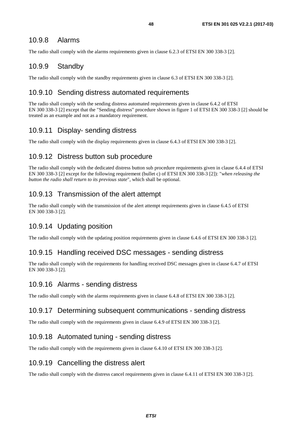#### <span id="page-47-0"></span>10.9.8 Alarms

The radio shall comply with the alarms requirements given in clause 6.2.3 of ETSI EN 300 338-3 [\[2](#page-9-0)].

#### 10.9.9 Standby

The radio shall comply with the standby requirements given in clause 6.3 of ETSI EN 300 338-3 [\[2](#page-9-0)].

#### 10.9.10 Sending distress automated requirements

The radio shall comply with the sending distress automated requirements given in clause 6.4.2 of ETSI EN 300 338-3 [\[2](#page-9-0)] except that the "Sending distress" procedure shown in figure 1 of ETSI EN 300 338-3 [\[2](#page-9-0)] should be treated as an example and not as a mandatory requirement.

### 10.9.11 Display- sending distress

The radio shall comply with the display requirements given in clause 6.4.3 of ETSI EN 300 338-3 [[2\]](#page-9-0).

#### 10.9.12 Distress button sub procedure

The radio shall comply with the dedicated distress button sub procedure requirements given in clause 6.4.4 of ETSI EN 300 338-3 [\[2](#page-9-0)] except for the following requirement (bullet c) of ETSI EN 300 338-3 [\[2](#page-9-0)]): "*when releasing the button the radio shall return to its previous state*", which shall be optional.

#### 10.9.13 Transmission of the alert attempt

The radio shall comply with the transmission of the alert attempt requirements given in clause 6.4.5 of ETSI EN 300 338-3 [\[2](#page-9-0)].

#### 10.9.14 Updating position

The radio shall comply with the updating position requirements given in clause 6.4.6 of ETSI EN 300 338-3 [\[2](#page-9-0)].

#### 10.9.15 Handling received DSC messages - sending distress

The radio shall comply with the requirements for handling received DSC messages given in clause 6.4.7 of ETSI EN 300 338-3 [\[2](#page-9-0)].

#### 10.9.16 Alarms - sending distress

The radio shall comply with the alarms requirements given in clause 6.4.8 of ETSI EN 300 338-3 [\[2](#page-9-0)].

#### 10.9.17 Determining subsequent communications - sending distress

The radio shall comply with the requirements given in clause 6.4.9 of ETSI EN 300 338-3 [\[2](#page-9-0)].

#### 10.9.18 Automated tuning - sending distress

The radio shall comply with the requirements given in clause 6.4.10 of ETSI EN 300 338-3 [\[2](#page-9-0)].

#### 10.9.19 Cancelling the distress alert

The radio shall comply with the distress cancel requirements given in clause 6.4.11 of ETSI EN 300 338-3 [\[2\]](#page-9-0).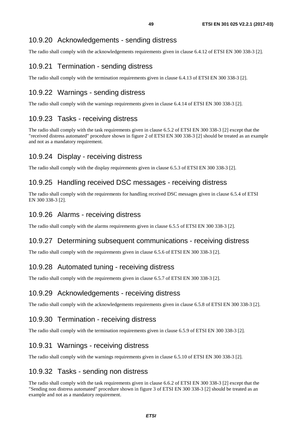### <span id="page-48-0"></span>10.9.20 Acknowledgements - sending distress

The radio shall comply with the acknowledgements requirements given in clause 6.4.12 of ETSI EN 300 338-3 [\[2](#page-9-0)].

### 10.9.21 Termination - sending distress

The radio shall comply with the termination requirements given in clause 6.4.13 of ETSI EN 300 338-3 [[2\]](#page-9-0).

### 10.9.22 Warnings - sending distress

The radio shall comply with the warnings requirements given in clause 6.4.14 of ETSI EN 300 338-3 [\[2](#page-9-0)].

### 10.9.23 Tasks - receiving distress

The radio shall comply with the task requirements given in clause 6.5.2 of ETSI EN 300 338-3 [[2\]](#page-9-0) except that the "received distress automated" procedure shown in figure 2 of ETSI EN 300 338-3 [[2](#page-9-0)] should be treated as an example and not as a mandatory requirement.

### 10.9.24 Display - receiving distress

The radio shall comply with the display requirements given in clause 6.5.3 of ETSI EN 300 338-3 [[2\]](#page-9-0).

### 10.9.25 Handling received DSC messages - receiving distress

The radio shall comply with the requirements for handling received DSC messages given in clause 6.5.4 of ETSI EN 300 338-3 [\[2](#page-9-0)].

#### 10.9.26 Alarms - receiving distress

The radio shall comply with the alarms requirements given in clause 6.5.5 of ETSI EN 300 338-3 [\[2](#page-9-0)].

#### 10.9.27 Determining subsequent communications - receiving distress

The radio shall comply with the requirements given in clause 6.5.6 of ETSI EN 300 338-3 [\[2](#page-9-0)].

#### 10.9.28 Automated tuning - receiving distress

The radio shall comply with the requirements given in clause 6.5.7 of ETSI EN 300 338-3 [\[2](#page-9-0)].

#### 10.9.29 Acknowledgements - receiving distress

The radio shall comply with the acknowledgements requirements given in clause 6.5.8 of ETSI EN 300 338-3 [\[2](#page-9-0)].

### 10.9.30 Termination - receiving distress

The radio shall comply with the termination requirements given in clause 6.5.9 of ETSI EN 300 338-3 [[2\]](#page-9-0).

### 10.9.31 Warnings - receiving distress

The radio shall comply with the warnings requirements given in clause 6.5.10 of ETSI EN 300 338-3 [\[2](#page-9-0)].

### 10.9.32 Tasks - sending non distress

The radio shall comply with the task requirements given in clause 6.6.2 of ETSI EN 300 338-3 [[2\]](#page-9-0) except that the "Sending non distress automated" procedure shown in figure 3 of ETSI EN 300 338-3 [\[2](#page-9-0)] should be treated as an example and not as a mandatory requirement.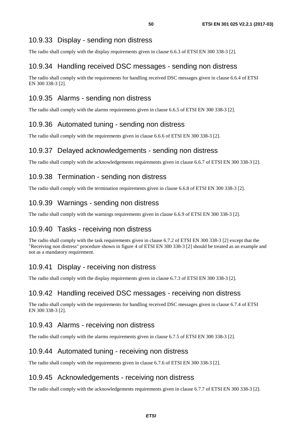### <span id="page-49-0"></span>10.9.33 Display - sending non distress

The radio shall comply with the display requirements given in clause 6.6.3 of ETSI EN 300 338-3 [[2\]](#page-9-0).

### 10.9.34 Handling received DSC messages - sending non distress

The radio shall comply with the requirements for handling received DSC messages given in clause 6.6.4 of ETSI EN 300 338-3 [\[2](#page-9-0)].

### 10.9.35 Alarms - sending non distress

The radio shall comply with the alarms requirements given in clause 6.6.5 of ETSI EN 300 338-3 [\[2](#page-9-0)].

### 10.9.36 Automated tuning - sending non distress

The radio shall comply with the requirements given in clause 6.6.6 of ETSI EN 300 338-3 [\[2](#page-9-0)].

### 10.9.37 Delayed acknowledgements - sending non distress

The radio shall comply with the acknowledgements requirements given in clause 6.6.7 of ETSI EN 300 338-3 [\[2](#page-9-0)].

### 10.9.38 Termination - sending non distress

The radio shall comply with the termination requirements given in clause 6.6.8 of ETSI EN 300 338-3 [[2\]](#page-9-0).

### 10.9.39 Warnings - sending non distress

The radio shall comply with the warnings requirements given in clause 6.6.9 of ETSI EN 300 338-3 [\[2](#page-9-0)].

### 10.9.40 Tasks - receiving non distress

The radio shall comply with the task requirements given in clause 6.7.2 of ETSI EN 300 338-3 [[2\]](#page-9-0) except that the "Receiving non distress" procedure shown in figure 4 of ETSI EN 300 338-3 [[2\]](#page-9-0) should be treated as an example and not as a mandatory requirement.

### 10.9.41 Display - receiving non distress

The radio shall comply with the display requirements given in clause 6.7.3 of ETSI EN 300 338-3 [[2\]](#page-9-0).

### 10.9.42 Handling received DSC messages - receiving non distress

The radio shall comply with the requirements for handling received DSC messages given in clause 6.7.4 of ETSI EN 300 338-3 [\[2](#page-9-0)].

### 10.9.43 Alarms - receiving non distress

The radio shall comply with the alarms requirements given in clause 6.7.5 of ETSI EN 300 338-3 [\[2](#page-9-0)].

### 10.9.44 Automated tuning - receiving non distress

The radio shall comply with the requirements given in clause 6.7.6 of ETSI EN 300 338-3 [\[2](#page-9-0)].

### 10.9.45 Acknowledgements - receiving non distress

The radio shall comply with the acknowledgements requirements given in clause 6.7.7 of ETSI EN 300 338-3 [\[2](#page-9-0)].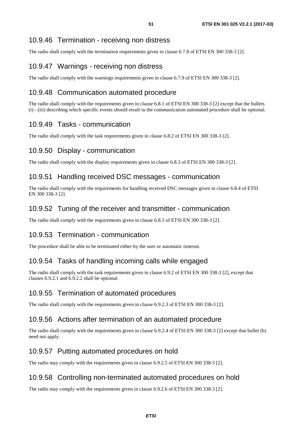### <span id="page-50-0"></span>10.9.46 Termination - receiving non distress

The radio shall comply with the termination requirements given in clause 6.7.8 of ETSI EN 300 338-3 [[2\]](#page-9-0).

### 10.9.47 Warnings - receiving non distress

The radio shall comply with the warnings requirements given in clause 6.7.9 of ETSI EN 300 338-3 [\[2](#page-9-0)].

### 10.9.48 Communication automated procedure

The radio shall comply with the requirements given in clause 6.8.1 of ETSI EN 300 338-3 [\[2](#page-9-0)] except that the bullets (i) - (iii) describing which specific events should result in the communication automated procedure shall be optional.

### 10.9.49 Tasks - communication

The radio shall comply with the task requirements given in clause 6.8.2 of ETSI EN 300 338-3 [[2\]](#page-9-0).

### 10.9.50 Display - communication

The radio shall comply with the display requirements given in clause 6.8.3 of ETSI EN 300 338-3 [[2\]](#page-9-0).

### 10.9.51 Handling received DSC messages - communication

The radio shall comply with the requirements for handling received DSC messages given in clause 6.8.4 of ETSI EN 300 338-3 [\[2](#page-9-0)].

### 10.9.52 Tuning of the receiver and transmitter - communication

The radio shall comply with the requirements given in clause 6.8.5 of ETSI EN 300 338-3 [\[2](#page-9-0)].

### 10.9.53 Termination - communication

The procedure shall be able to be terminated either by the user or automatic timeout.

### 10.9.54 Tasks of handling incoming calls while engaged

The radio shall comply with the task requirements given in clause 6.9.2 of ETSI EN 300 338-3 [[2\]](#page-9-0), except that clauses 6.9.2.1 and 6.9.2.2 shall be optional.

### 10.9.55 Termination of automated procedures

The radio shall comply with the requirements given in clause 6.9.2.3 of ETSI EN 300 338-3 [\[2](#page-9-0)].

### 10.9.56 Actions after termination of an automated procedure

The radio shall comply with the requirements given in clause 6.9.2.4 of ETSI EN 300 338-3 [\[2](#page-9-0)] except that bullet (b) need not apply.

### 10.9.57 Putting automated procedures on hold

The radio may comply with the requirements given in clause 6.9.2.5 of ETSI EN 300 338-3 [\[2](#page-9-0)].

### 10.9.58 Controlling non-terminated automated procedures on hold

The radio may comply with the requirements given in clause 6.9.2.6 of ETSI EN 300 338-3 [\[2](#page-9-0)].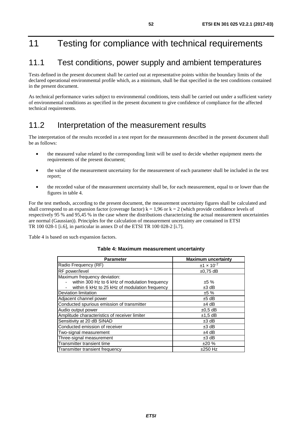# <span id="page-51-0"></span>11 Testing for compliance with technical requirements

# 11.1 Test conditions, power supply and ambient temperatures

Tests defined in the present document shall be carried out at representative points within the boundary limits of the declared operational environmental profile which, as a minimum, shall be that specified in the test conditions contained in the present document.

As technical performance varies subject to environmental conditions, tests shall be carried out under a sufficient variety of environmental conditions as specified in the present document to give confidence of compliance for the affected technical requirements.

### 11.2 Interpretation of the measurement results

The interpretation of the results recorded in a test report for the measurements described in the present document shall be as follows:

- the measured value related to the corresponding limit will be used to decide whether equipment meets the requirements of the present document;
- the value of the measurement uncertainty for the measurement of each parameter shall be included in the test report;
- the recorded value of the measurement uncertainty shall be, for each measurement, equal to or lower than the figures in table 4.

For the test methods, according to the present document, the measurement uncertainty figures shall be calculated and shall correspond to an expansion factor (coverage factor)  $k = 1.96$  or  $k = 2$  (which provide confidence levels of respectively 95 % and 95,45 % in the case where the distributions characterizing the actual measurement uncertainties are normal (Gaussian)). Principles for the calculation of measurement uncertainty are contained in ETSI TR 100 028-1 [\[i.6](#page-10-0)], in particular in annex D of the ETSI TR 100 028-2 [[i.7\]](#page-10-0).

Table 4 is based on such expansion factors.

|  |  | Table 4: Maximum measurement uncertainty |  |
|--|--|------------------------------------------|--|
|--|--|------------------------------------------|--|

| <b>Parameter</b>                               | <b>Maximum uncertainty</b> |
|------------------------------------------------|----------------------------|
| Radio Frequency (RF)                           | $±1 \times 10^{-7}$        |
| RF power/level                                 | $±0.75$ dB                 |
| Maximum frequency deviation:                   |                            |
| within 300 Hz to 6 kHz of modulation frequency | ±5%                        |
| within 6 kHz to 25 kHz of modulation frequency | $±3$ dB                    |
| Deviation limitation                           | ±5%                        |
| Adjacent channel power                         | $±5$ dB                    |
| Conducted spurious emission of transmitter     | $±4$ dB                    |
| Audio output power                             | $\pm 0.5$ dB               |
| Amplitude characteristics of receiver limiter  | $±1.5$ dB                  |
| Sensitivity at 20 dB SINAD                     | $±3$ dB                    |
| Conducted emission of receiver                 | $±3$ dB                    |
| Two-signal measurement                         | $±4$ dB                    |
| Three-signal measurement                       | $±3$ dB                    |
| Transmitter transient time                     | ±20%                       |
| Transmitter transient frequency                | $±250$ Hz                  |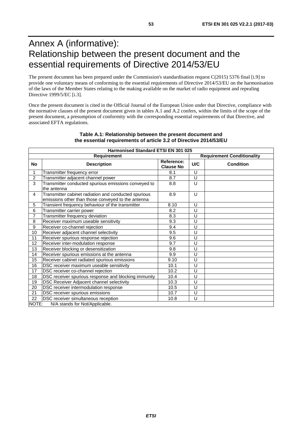# <span id="page-52-0"></span>Annex A (informative): Relationship between the present document and the essential requirements of Directive 2014/53/EU

The present document has been prepared under the Commission's standardisation request C(2015) 5376 final [\[i.9\]](#page-10-0) to provide one voluntary means of conforming to the essential requirements of Directive 2014/53/EU on the harmonisation of the laws of the Member States relating to the making available on the market of radio equipment and repealing Directive 1999/5/EC [\[i.3](#page-10-0)].

Once the present document is cited in the Official Journal of the European Union under that Directive, compliance with the normative clauses of the present document given in tables A.1 and A.2 confers, within the limits of the scope of the present document, a presumption of conformity with the corresponding essential requirements of that Directive, and associated EFTA regulations.

|                | Harmonised Standard ETSI EN 301 025                                                                        |                                |     |                                   |  |  |
|----------------|------------------------------------------------------------------------------------------------------------|--------------------------------|-----|-----------------------------------|--|--|
|                | <b>Requirement</b>                                                                                         |                                |     | <b>Requirement Conditionality</b> |  |  |
| No             | <b>Description</b>                                                                                         | Reference:<br><b>Clause No</b> | U/C | <b>Condition</b>                  |  |  |
| 1              | Transmitter frequency error                                                                                | 8.1                            | U   |                                   |  |  |
| $\overline{2}$ | Transmitter adjacent channel power                                                                         | 8.7                            | U   |                                   |  |  |
| 3              | Transmitter conducted spurious emissions conveyed to<br>the antenna                                        | 8.8                            | U   |                                   |  |  |
| $\overline{4}$ | Transmitter cabinet radiation and conducted spurious<br>emissions other than those conveyed to the antenna | 8.9                            | U   |                                   |  |  |
| 5              | Transient frequency behaviour of the transmitter                                                           | 8.10                           | U   |                                   |  |  |
| 6              | Transmitter carrier power                                                                                  | 8.2                            | U   |                                   |  |  |
| $\overline{7}$ | Transmitter frequency deviation                                                                            | 8.3                            | U   |                                   |  |  |
| 8              | Receiver maximum useable sensitivity                                                                       | 9.3                            | U   |                                   |  |  |
| 9              | Receiver co-channel rejection                                                                              |                                | U   |                                   |  |  |
| 10             | Receiver adjacent channel selectivity                                                                      |                                | U   |                                   |  |  |
| 11             | Receiver spurious response rejection                                                                       |                                | U   |                                   |  |  |
| 12             | Receiver inter-modulation response                                                                         | 9.7                            | U   |                                   |  |  |
| 13             | Receiver blocking or desensitization                                                                       | 9.8                            | U   |                                   |  |  |
| 14             | Receiver spurious emissions at the antenna                                                                 | 9.9                            | U   |                                   |  |  |
| 15             | Receiver cabinet radiated spurious emissions                                                               | 9.10                           | U   |                                   |  |  |
| 16             | DSC receiver maximum useable sensitivity                                                                   | 10.1                           | U   |                                   |  |  |
| 17             | DSC receiver co-channel rejection                                                                          | 10.2                           | U   |                                   |  |  |
| 18             | DSC receiver spurious response and blocking immunity                                                       | 10.4                           | U   |                                   |  |  |
| 19             | DSC Receiver Adjacent channel selectivity                                                                  | 10.3                           | U   |                                   |  |  |
| 20             | DSC receiver intermodulation response                                                                      | 10.5                           | U   |                                   |  |  |
| 21             | DSC receiver spurious emissions                                                                            | 10.7                           | U   |                                   |  |  |
| 22             | DSC receiver simultaneous reception                                                                        | 10.8                           | U   |                                   |  |  |
| NOTE:          | N/A stands for Not/Applicable.                                                                             |                                |     |                                   |  |  |

#### **Table A.1: Relationship between the present document and the essential requirements of article 3.2 of Directive 2014/53/EU**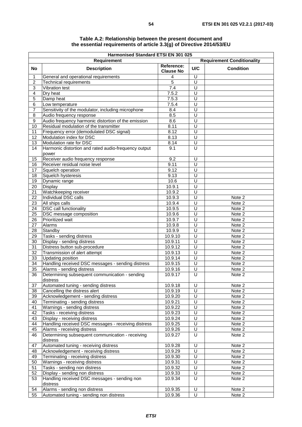|                  | Harmonised Standard ETSI EN 301 025<br>Requirement<br><b>Requirement Conditionality</b> |                    |                              |                  |  |
|------------------|-----------------------------------------------------------------------------------------|--------------------|------------------------------|------------------|--|
|                  |                                                                                         | Reference:         |                              |                  |  |
| <b>No</b>        | <b>Description</b>                                                                      | <b>Clause No</b>   | U/C                          | <b>Condition</b> |  |
| 1                | General and operational requirements                                                    | 4                  | $\overline{U}$               |                  |  |
| $\overline{2}$   | <b>Technical requirements</b>                                                           | 5                  | U                            |                  |  |
| $\mathbf{3}$     | Vibration test                                                                          | 7.4                | U                            |                  |  |
| $\overline{4}$   | Dry heat                                                                                | 7.5.2              | U                            |                  |  |
| 5<br>$\,6$       | Damp heat                                                                               | 7.5.3<br>7.5.4     | U<br>$\overline{\mathsf{U}}$ |                  |  |
| 7                | Low temperature<br>Sensitivity of the modulator, including microphone                   | 8.4                | U                            |                  |  |
| 8                | Audio frequency response                                                                | 8.5                | U                            |                  |  |
| $\boldsymbol{9}$ | Audio frequency harmonic distortion of the emission                                     | 8.6                | $\overline{U}$               |                  |  |
| 10               | Residual modulation of the transmitter                                                  | 8.11               | U                            |                  |  |
| 11               | Frequency error (demodulated DSC signal)                                                | 8.12               | U                            |                  |  |
| 12               | Modulation index for DSC                                                                | 8.13               | $\overline{U}$               |                  |  |
| 13               | Modulation rate for DSC                                                                 | 8.14               | U                            |                  |  |
| 14               | Harmonic distortion and rated audio-frequency output<br>power                           | 9.1                | U                            |                  |  |
| 15               | Receiver audio frequency response                                                       | 9.2                | $\overline{U}$               |                  |  |
| 16               | Receiver residual noise level                                                           | 9.11               | U                            |                  |  |
| 17               | Squelch operation                                                                       | 9.12               | U                            |                  |  |
| 18               | Squelch hysteresis                                                                      | 9.13               | $\overline{U}$               |                  |  |
| 19               | Dynamic range                                                                           | 10.6               | $\overline{U}$               |                  |  |
| 20               | Display                                                                                 | 10.9.1             | $\overline{U}$               |                  |  |
| 21               | Watchkeeping receiver                                                                   | 10.9.2             | $\overline{U}$               |                  |  |
| 22<br>23         | Individual DSC calls<br>All ships calls                                                 | 10.9.3<br>10.9.4   | U<br>$\overline{\mathsf{U}}$ | Note 2<br>Note 2 |  |
| 24               | <b>DSC</b> call functionality                                                           | 10.9.5             | $\overline{U}$               | Note 2           |  |
| 25               | <b>DSC</b> message composition                                                          | 10.9.6             | U                            | Note 2           |  |
| 26               | Prioritized wait                                                                        | 10.9.7             | $\overline{\mathsf{U}}$      | Note 2           |  |
| 27               | Alarms                                                                                  | 10.9.8             | U                            | Note 2           |  |
| 28               | Standby                                                                                 | 10.9.9             | U                            | Note 2           |  |
| 29               | Tasks - sending distress                                                                | 10.9.10            | U                            | Note 2           |  |
| 30               | Display - sending distress                                                              | 10.9.11            | U                            | Note 2           |  |
| 31               | Distress button sub-procedure                                                           | 10.9.12            | $\overline{U}$               | Note 2           |  |
| 32               | Transmission of alert attempt                                                           | 10.9.13            | U                            | Note 2           |  |
| 33               | <b>Updating position</b>                                                                | 10.9.14            | U                            | Note 2           |  |
| 34               | Handling received DSC messages - sending distress                                       | 10.9.15            | $\overline{U}$               | Note 2           |  |
| 35               | Alarms - sending distress                                                               | 10.9.16            | U                            | Note 2           |  |
| 36               | Determining subsequent communication - sending<br>distress                              | 10.9.17            | $\overline{\mathsf{U}}$      | Note 2           |  |
| 37               | Automated tuning - sending distress                                                     | 10.9.18            | U                            | Note 2           |  |
| 38               | Cancelling the distress alert                                                           | 10.9.19            | U                            | Note 2           |  |
| 39               | Acknowledgement - sending distress                                                      | 10.9.20            | U<br>$\overline{U}$          | Note 2           |  |
| 40               | Terminating - sending distress                                                          | 10.9.21            | U                            | Note 2           |  |
| 41<br>42         | Warnings - sending distress<br>Tasks - receiving distress                               | 10.9.22<br>10.9.23 | U                            | Note 2<br>Note 2 |  |
| 43               | Display - receiving distress                                                            | 10.9.24            | $\overline{U}$               | Note 2           |  |
| 44               | Handling received DSC messages - receiving distress                                     | 10.9.25            | $\cup$                       | Note 2           |  |
| 45               | Alarms - receiving distress                                                             | 10.9.26            | $\overline{U}$               | Note 2           |  |
| 46               | Determining subsequent communication - receiving                                        | 10.9.27            | U                            | Note 2           |  |
|                  | distress                                                                                |                    |                              |                  |  |
| 47               | Automated tuning - receiving distress                                                   | 10.9.28            | U                            | Note 2           |  |
| 48               | Acknowledgement - receiving distress                                                    | 10.9.29            | $\overline{U}$               | Note 2           |  |
| 49               | Terminating - receiving distress                                                        | 10.9.30            | $\cup$                       | Note 2           |  |
| 50               | Warnings - receiving distress                                                           | 10.9.31            | U                            | Note 2           |  |
| 51               | Tasks - sending non distress                                                            | 10.9.32            | U                            | Note 2           |  |
| 52               | Display - sending non distress                                                          | 10.9.33            | $\overline{U}$<br>$\cup$     | Note 2           |  |
| 53               | Handling received DSC messages - sending non<br>distress                                | 10.9.34            |                              | Note 2           |  |
| 54               | Alarms - sending non distress                                                           | 10.9.35            | U                            | Note 2           |  |
| 55               | Automated tuning - sending non distress                                                 | 10.9.36            | U                            | Note 2           |  |

#### **Table A.2: Relationship between the present document and the essential requirements of article 3.3(g) of Directive 2014/53/EU**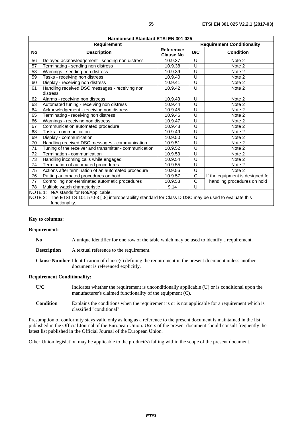| Harmonised Standard ETSI EN 301 025                                                           |                                                                                                                                                                           |                                |                             |                                   |  |  |
|-----------------------------------------------------------------------------------------------|---------------------------------------------------------------------------------------------------------------------------------------------------------------------------|--------------------------------|-----------------------------|-----------------------------------|--|--|
| Requirement                                                                                   |                                                                                                                                                                           |                                |                             | <b>Requirement Conditionality</b> |  |  |
| <b>No</b>                                                                                     | <b>Description</b>                                                                                                                                                        | Reference:<br><b>Clause No</b> | U/C                         | <b>Condition</b>                  |  |  |
| 56                                                                                            | Delayed acknowledgement - sending non distress                                                                                                                            | 10.9.37                        | $\cup$                      | Note 2                            |  |  |
| 57                                                                                            | Terminating - sending non distress                                                                                                                                        | 10.9.38                        | U                           | Note 2                            |  |  |
| 58                                                                                            | Warnings - sending non distress                                                                                                                                           | 10.9.39                        | $\cup$                      | Note 2                            |  |  |
| 59                                                                                            | Tasks - receiving non distress                                                                                                                                            | 10.9.40                        | U                           | Note 2                            |  |  |
| 60                                                                                            | Display - receiving non distress                                                                                                                                          | 10.9.41                        | $\cup$                      | Note 2                            |  |  |
| 61                                                                                            | Handling received DSC messages - receiving non<br>distress                                                                                                                | 10.9.42                        | $\cup$                      | Note 2                            |  |  |
| 62                                                                                            | Alarms - receiving non distress                                                                                                                                           | 10.9.43                        | U                           | Note 2                            |  |  |
| 63                                                                                            | Automated tuning - receiving non distress                                                                                                                                 | 10.9.44                        | U                           | Note 2                            |  |  |
| 64                                                                                            | Acknowledgement - receiving non distress                                                                                                                                  | 10.9.45                        | U                           | Note 2                            |  |  |
| 65                                                                                            | Terminating - receiving non distress                                                                                                                                      | 10.9.46                        | U                           | Note 2                            |  |  |
| 66                                                                                            | Warnings - receiving non distress                                                                                                                                         |                                | U                           | Note 2                            |  |  |
| 67                                                                                            | Communication automated procedure                                                                                                                                         |                                | $\overline{\mathsf{U}}$     | Note 2                            |  |  |
| 68                                                                                            | Tasks - communication                                                                                                                                                     |                                | U                           | Note 2                            |  |  |
| 69                                                                                            | Display - communication                                                                                                                                                   | 10.9.50                        | U                           | Note 2                            |  |  |
| 70                                                                                            | Handling received DSC messages - communication                                                                                                                            | 10.9.51                        | U                           | Note 2                            |  |  |
| 71                                                                                            | Tuning of the receiver and transmitter - communication                                                                                                                    | 10.9.52                        | $\cup$                      | Note 2                            |  |  |
| 72                                                                                            | Termination - communication                                                                                                                                               | 10.9.53                        | U                           | Note 2                            |  |  |
| 73                                                                                            | Handling incoming calls while engaged                                                                                                                                     | 10.9.54                        | U                           | Note 2                            |  |  |
| 74                                                                                            | Termination of automated procedures                                                                                                                                       | 10.9.55                        | U                           | Note 2                            |  |  |
| 75                                                                                            | Actions after termination of an automated procedure                                                                                                                       |                                | U                           | Note 2                            |  |  |
| 76                                                                                            | Putting automated procedures on hold                                                                                                                                      |                                | $\overline{C}$              | If the equipment is designed for  |  |  |
| 10.9.57<br>$\overline{C}$<br>Controlling non-terminated automatic procedures<br>10.9.58<br>77 |                                                                                                                                                                           |                                | handling procedures on hold |                                   |  |  |
| 78                                                                                            | U<br>Multiple watch characteristic<br>9.14                                                                                                                                |                                |                             |                                   |  |  |
|                                                                                               | NOTE 1: N/A stands for Not/Applicable.<br>The ETSI TS 101 570-3 [i.8] interoperability standard for Class D DSC may be used to evaluate this<br>NOTE 2:<br>functionality. |                                |                             |                                   |  |  |

#### **Key to columns:**

#### **Requirement:**

| N <sub>0</sub>     | A unique identifier for one row of the table which may be used to identify a requirement.                                                              |  |  |
|--------------------|--------------------------------------------------------------------------------------------------------------------------------------------------------|--|--|
| <b>Description</b> | A textual reference to the requirement.                                                                                                                |  |  |
|                    | <b>Clause Number</b> Identification of clause(s) defining the requirement in the present document unless another<br>document is referenced explicitly. |  |  |

#### **Requirement Conditionality:**

| U/C    | Indicates whether the requirement is unconditionally applicable (U) or is conditional upon the<br>manufacturer's claimed functionality of the equipment (C). |
|--------|--------------------------------------------------------------------------------------------------------------------------------------------------------------|
| $\sim$ |                                                                                                                                                              |

**Condition** Explains the conditions when the requirement is or is not applicable for a requirement which is classified "conditional".

Presumption of conformity stays valid only as long as a reference to the present document is maintained in the list published in the Official Journal of the European Union. Users of the present document should consult frequently the latest list published in the Official Journal of the European Union.

Other Union legislation may be applicable to the product(s) falling within the scope of the present document.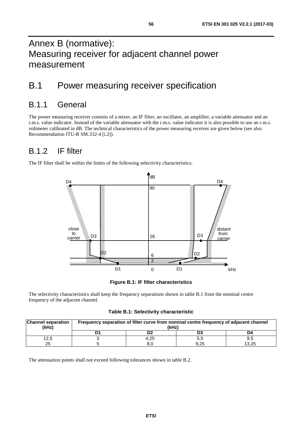# <span id="page-55-0"></span>Annex B (normative): Measuring receiver for adjacent channel power measurement

# B.1 Power measuring receiver specification

# B.1.1 General

The power measuring receiver consists of a mixer, an IF filter, an oscillator, an amplifier, a variable attenuator and an r.m.s. value indicator. Instead of the variable attenuator with the r.m.s. value indicator it is also possible to use an r.m.s. voltmeter calibrated in dB. The technical characteristics of the power measuring receiver are given below (see also Recommendation ITU-R SM.332-4 [\[i.2](#page-10-0)]).

# B.1.2 IF filter

The IF filter shall be within the limits of the following selectivity characteristics.



**Figure B.1: IF filter characteristics** 

The selectivity characteristics shall keep the frequency separations shown in table B.1 from the nominal centre frequency of the adjacent channel.

**Table B.1: Selectivity characteristic** 

| <b>Channel separation</b><br>(kHz) | Frequency separation of filter curve from nominal centre frequency of adjacent channel<br>(kHz) |      |      |       |
|------------------------------------|-------------------------------------------------------------------------------------------------|------|------|-------|
|                                    |                                                                                                 |      |      | D4    |
| 12,5                               |                                                                                                 | 4.25 | 5,5  |       |
| 25                                 |                                                                                                 |      | 9.25 | 13.25 |

The attenuation points shall not exceed following tolerances shown in table B.2.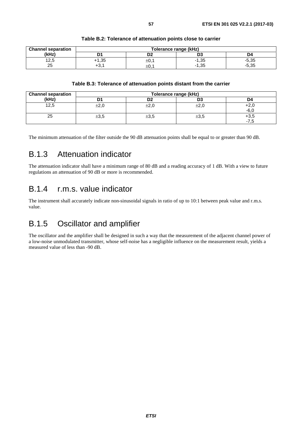<span id="page-56-0"></span>

| <b>Channel separation</b> |                   | Tolerance range (kHz) |         |         |
|---------------------------|-------------------|-----------------------|---------|---------|
| (kHz)                     |                   | ◡                     | υa      | 4ں      |
| 12,5                      | $+1,35$           | $\pm 0,1$             | $-1,35$ | $-5,35$ |
| 25                        | $\cdot$ 2<br>+د., | ±0.                   | $-1,35$ | $-5,35$ |

#### **Table B.2: Tolerance of attenuation points close to carrier**

#### **Table B.3: Tolerance of attenuation points distant from the carrier**

| <b>Channel separation</b> | Tolerance range (kHz)            |           |           |                          |
|---------------------------|----------------------------------|-----------|-----------|--------------------------|
| (kHz)                     |                                  | ng.<br>ש  | D3        | D4                       |
| 12,5                      | $\overline{\phantom{a}}$<br>±∠.∪ | $\pm 2,0$ | $\pm 2,0$ | +2,                      |
|                           |                                  |           |           | $-6.1$                   |
| 25                        | $\pm 3,5$                        | ±3,5      | $\pm 3,5$ | $+3,5$                   |
|                           |                                  |           |           | $\overline{\phantom{a}}$ |

The minimum attenuation of the filter outside the 90 dB attenuation points shall be equal to or greater than 90 dB.

# B.1.3 Attenuation indicator

The attenuation indicator shall have a minimum range of 80 dB and a reading accuracy of 1 dB. With a view to future regulations an attenuation of 90 dB or more is recommended.

### B.1.4 r.m.s. value indicator

The instrument shall accurately indicate non-sinusoidal signals in ratio of up to 10:1 between peak value and r.m.s. value.

### B.1.5 Oscillator and amplifier

The oscillator and the amplifier shall be designed in such a way that the measurement of the adjacent channel power of a low-noise unmodulated transmitter, whose self-noise has a negligible influence on the measurement result, yields a measured value of less than -90 dB.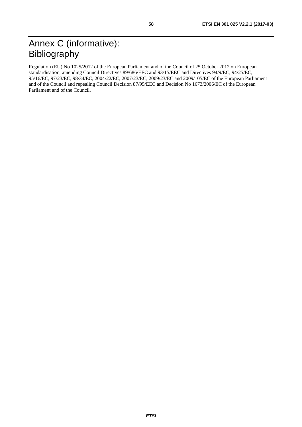<span id="page-57-0"></span>Regulation (EU) No 1025/2012 of the European Parliament and of the Council of 25 October 2012 on European standardisation, amending Council Directives 89/686/EEC and 93/15/EEC and Directives 94/9/EC, 94/25/EC, 95/16/EC, 97/23/EC, 98/34/EC, 2004/22/EC, 2007/23/EC, 2009/23/EC and 2009/105/EC of the European Parliament and of the Council and repealing Council Decision 87/95/EEC and Decision No 1673/2006/EC of the European Parliament and of the Council.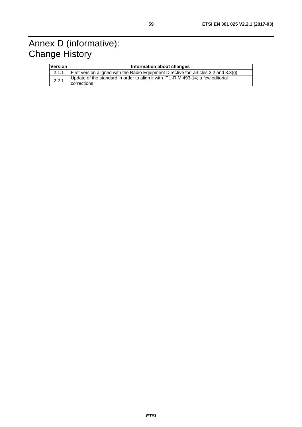# <span id="page-58-0"></span>Annex D (informative): Change History

| <b>Version</b> | Information about changes                                                                       |
|----------------|-------------------------------------------------------------------------------------------------|
| 2.1.1          | First version aligned with the Radio Equipment Directive for articles 3.2 and 3.3(g)            |
| 2.2.1          | Update of the standard in order to align it with ITU-R M.493-14; a few editorial<br>corrections |